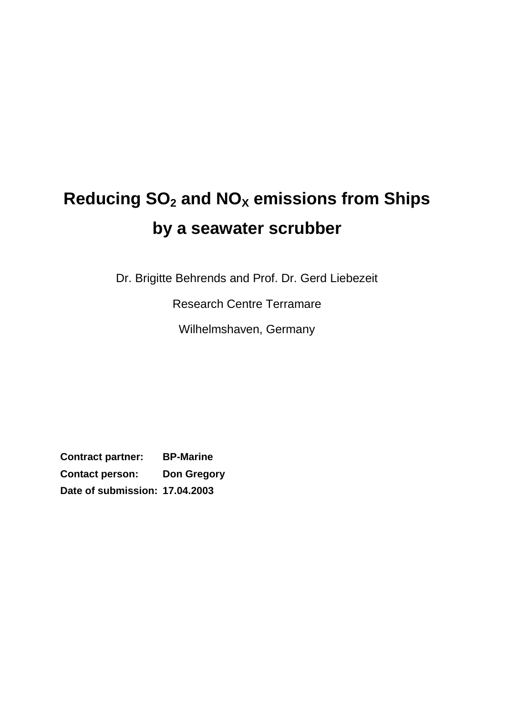# **Reducing SO<sup>2</sup> and NO<sup>X</sup> emissions from Ships by a seawater scrubber**

Dr. Brigitte Behrends and Prof. Dr. Gerd Liebezeit

Research Centre Terramare

Wilhelmshaven, Germany

**Contract partner: BP-Marine Contact person: Don Gregory Date of submission: 17.04.2003**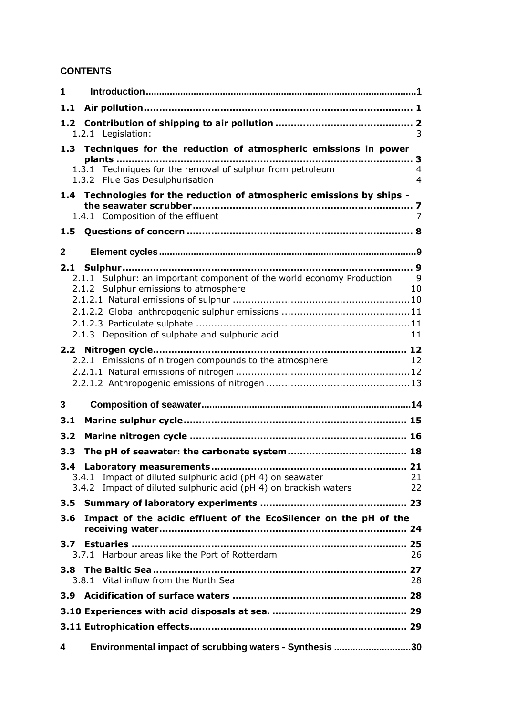## **CONTENTS**

| $\mathbf 1$                                                                                                    |                                  |
|----------------------------------------------------------------------------------------------------------------|----------------------------------|
| 1.1                                                                                                            |                                  |
|                                                                                                                |                                  |
| 1.2.1 Legislation:                                                                                             | 3                                |
| 1.3 Techniques for the reduction of atmospheric emissions in power                                             |                                  |
| 1.3.1 Techniques for the removal of sulphur from petroleum<br>1.3.2 Flue Gas Desulphurisation                  | $\overline{4}$<br>$\overline{4}$ |
| 1.4 Technologies for the reduction of atmospheric emissions by ships -<br>1.4.1 Composition of the effluent    | 7                                |
| 1.5                                                                                                            |                                  |
|                                                                                                                |                                  |
| $\mathbf{2}$                                                                                                   |                                  |
| 2.1.1 Sulphur: an important component of the world economy Production<br>2.1.2 Sulphur emissions to atmosphere | - 9<br>10                        |
|                                                                                                                |                                  |
|                                                                                                                |                                  |
| 2.1.3 Deposition of sulphate and sulphuric acid                                                                | 11                               |
|                                                                                                                |                                  |
| 2.2.1 Emissions of nitrogen compounds to the atmosphere                                                        | $\overline{12}$                  |
|                                                                                                                |                                  |
|                                                                                                                |                                  |
| 3                                                                                                              |                                  |
| 3.1                                                                                                            |                                  |
| 3.2                                                                                                            |                                  |
| 3.3                                                                                                            |                                  |
| 3.4                                                                                                            | 21                               |
| 3.4.1 Impact of diluted sulphuric acid (pH 4) on seawater                                                      | 21                               |
| 3.4.2 Impact of diluted sulphuric acid (pH 4) on brackish waters                                               | 22                               |
| 3.5                                                                                                            |                                  |
| Impact of the acidic effluent of the EcoSilencer on the pH of the<br>3.6                                       |                                  |
|                                                                                                                |                                  |
| 3.7<br>3.7.1 Harbour areas like the Port of Rotterdam                                                          | 26                               |
|                                                                                                                |                                  |
| 3.8.1 Vital inflow from the North Sea                                                                          | 28                               |
| 3.9                                                                                                            |                                  |
|                                                                                                                |                                  |
|                                                                                                                |                                  |
| Environmental impact of scrubbing waters - Synthesis 30<br>4                                                   |                                  |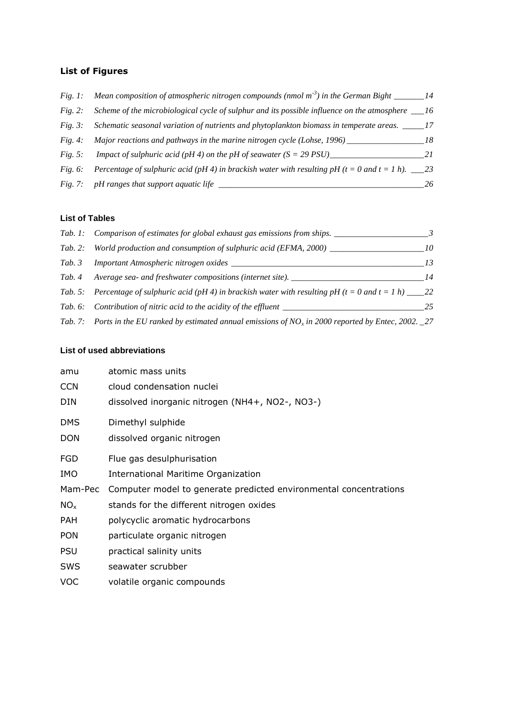#### **List of Figures**

| Fig. 1:    | Mean composition of atmospheric nitrogen compounds (nmol $m-3$ ) in the German Bight ________14         |    |
|------------|---------------------------------------------------------------------------------------------------------|----|
| Fig. 2:    | Scheme of the microbiological cycle of sulphur and its possible influence on the atmosphere $\qquad 16$ |    |
| Fig. 3:    | Schematic seasonal variation of nutrients and phytoplankton biomass in temperate areas.                 |    |
| Fig. 4:    | Major reactions and pathways in the marine nitrogen cycle (Lohse, $1996$ ) ___                          | 18 |
| Fig. 5:    | <i>Impact of sulphuric acid (pH 4) on the pH of seawater <math>(S = 29</math> PSU)</i>                  | 21 |
| Fig. $6$ : | Percentage of sulphuric acid (pH 4) in brackish water with resulting pH (t = 0 and t = 1 h). $\_\_2$ 3  |    |
|            | Fig. 7: pH ranges that support aquatic life                                                             |    |
|            |                                                                                                         |    |

#### **List of Tables**

|         | Tab. 1: Comparison of estimates for global exhaust gas emissions from ships.                                         |    |
|---------|----------------------------------------------------------------------------------------------------------------------|----|
| Tab. 2: | World production and consumption of sulphuric acid (EFMA, 2000) ___                                                  | 10 |
| Tab. 3  | Important Atmospheric nitrogen oxides _____                                                                          |    |
| Tab. 4  | Average sea- and freshwater compositions (internet site). _____                                                      | 14 |
|         | Tab. 5: Percentage of sulphuric acid (pH 4) in brackish water with resulting pH (t = 0 and t = 1 h) ____22           |    |
|         | Tab. 6: Contribution of nitric acid to the acidity of the effluent _______                                           | 25 |
|         | Tab. 7: Ports in the EU ranked by estimated annual emissions of NO <sub>x</sub> in 2000 reported by Entec, 2002. _27 |    |

#### **List of used abbreviations**

| atomic mass units                                                 |
|-------------------------------------------------------------------|
| cloud condensation nuclei                                         |
| dissolved inorganic nitrogen (NH4+, NO2-, NO3-)                   |
| Dimethyl sulphide                                                 |
| dissolved organic nitrogen                                        |
| Flue gas desulphurisation                                         |
| International Maritime Organization                               |
| Computer model to generate predicted environmental concentrations |
| stands for the different nitrogen oxides                          |
| polycyclic aromatic hydrocarbons                                  |
| particulate organic nitrogen                                      |
| practical salinity units                                          |
| seawater scrubber                                                 |
| volatile organic compounds                                        |
|                                                                   |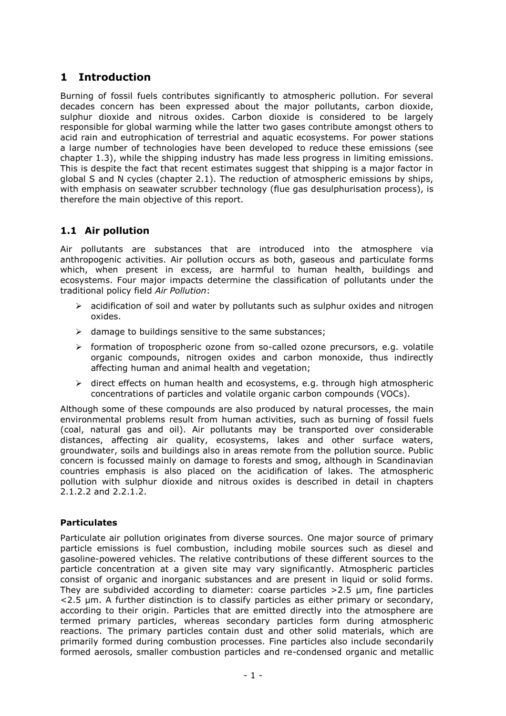# **1 Introduction**

Burning of fossil fuels contributes significantly to atmospheric pollution. For several decades concern has been expressed about the major pollutants, carbon dioxide, sulphur dioxide and nitrous oxides. Carbon dioxide is considered to be largely responsible for global warming while the latter two gases contribute amongst others to acid rain and eutrophication of terrestrial and aquatic ecosystems. For power stations a large number of technologies have been developed to reduce these emissions (see chapter [1.3\)](#page-5-0), while the shipping industry has made less progress in limiting emissions. This is despite the fact that recent estimates suggest that shipping is a major factor in global S and N cycles (chapter 2.1). The reduction of atmospheric emissions by ships, with emphasis on seawater scrubber technology (flue gas desulphurisation process), is therefore the main objective of this report.

## **1.1 Air pollution**

Air pollutants are substances that are introduced into the atmosphere via anthropogenic activities. Air pollution occurs as both, gaseous and particulate forms which, when present in excess, are harmful to human health, buildings and ecosystems. Four major impacts determine the classification of pollutants under the traditional policy field *Air Pollution*:

- $\triangleright$  acidification of soil and water by pollutants such as sulphur oxides and nitrogen oxides.
- $\triangleright$  damage to buildings sensitive to the same substances:
- formation of tropospheric ozone from so-called ozone precursors, e.g. volatile organic compounds, nitrogen oxides and carbon monoxide, thus indirectly affecting human and animal health and vegetation;
- $\triangleright$  direct effects on human health and ecosystems, e.g. through high atmospheric concentrations of particles and volatile organic carbon compounds (VOCs).

Although some of these compounds are also produced by natural processes, the main environmental problems result from human activities, such as burning of fossil fuels (coal, natural gas and oil). Air pollutants may be transported over considerable distances, affecting air quality, ecosystems, lakes and other surface waters, groundwater, soils and buildings also in areas remote from the pollution source. Public concern is focussed mainly on damage to forests and smog, although in Scandinavian countries emphasis is also placed on the acidification of lakes. The atmospheric pollution with sulphur dioxide and nitrous oxides is described in detail in chapters [2.1.2.2](#page-13-0) and [2.2.1.2.](#page-15-0)

## **Particulates**

Particulate air pollution originates from diverse sources. One major source of primary particle emissions is fuel combustion, including mobile sources such as diesel and gasoline-powered vehicles. The relative contributions of these different sources to the particle concentration at a given site may vary significantly. Atmospheric particles consist of organic and inorganic substances and are present in liquid or solid forms. They are subdivided according to diameter: coarse particles  $>2.5$  µm, fine particles <2.5 µm. A further distinction is to classify particles as either primary or secondary, according to their origin. Particles that are emitted directly into the atmosphere are termed primary particles, whereas secondary particles form during atmospheric reactions. The primary particles contain dust and other solid materials, which are primarily formed during combustion processes. Fine particles also include secondarily formed aerosols, smaller combustion particles and re-condensed organic and metallic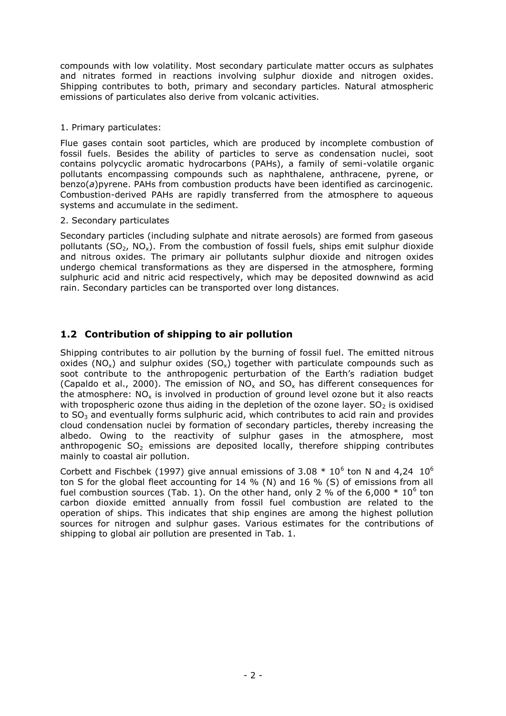compounds with low volatility. Most secondary particulate matter occurs as sulphates and nitrates formed in reactions involving [sulphur dioxide](file:///C:/WINDOWS/TEMP/Sulphur_Dioxide.html) and [nitrogen oxides.](file:///C:/WINDOWS/TEMP/Nitrogen_Dioxide.html) Shipping contributes to both, primary and secondary particles. Natural atmospheric emissions of particulates also derive from volcanic activities.

#### 1. Primary particulates:

Flue gases contain soot particles, which are produced by incomplete combustion of fossil fuels. Besides the ability of particles to serve as condensation nuclei, soot contains polycyclic aromatic hydrocarbons (PAHs), a family of semi-volatile organic pollutants encompassing compounds such as naphthalene, anthracene, pyrene, or benzo(*a*)pyrene. PAHs from combustion products have been identified as carcinogenic. Combustion-derived PAHs are rapidly transferred from the atmosphere to aqueous systems and accumulate in the sediment.

#### 2. Secondary particulates

Secondary particles (including sulphate and nitrate aerosols) are formed from gaseous pollutants (SO<sub>2</sub>, NO<sub>x</sub>). From the combustion of fossil fuels, ships emit sulphur dioxide and nitrous oxides. The primary air pollutants [sulphur dioxide](file:///C:/WINDOWS/TEMP/Sulphur_Dioxide.html) and [nitrogen oxides](file:///C:/WINDOWS/TEMP/Nitrogen_Dioxide.html) undergo chemical transformations as they are dispersed in the atmosphere, forming sulphuric acid and nitric acid respectively, which may be deposited downwind as [acid](file:///C:/Acid_Rain/acid_rain.html)  [rain.](file:///C:/Acid_Rain/acid_rain.html) Secondary particles can be transported over long distances.

## **1.2 Contribution of shipping to air pollution**

Shipping contributes to air pollution by the burning of fossil fuel. The emitted nitrous oxides (NO<sub>x</sub>) and sulphur oxides (SO<sub>x</sub>) together with particulate compounds such as soot contribute to the anthropogenic perturbation of the Earth's radiation budget (Capaldo et al., 2000). The emission of  $NO<sub>x</sub>$  and  $SO<sub>y</sub>$  has different consequences for the atmosphere:  $NO<sub>x</sub>$  is involved in production of ground level ozone but it also reacts with tropospheric ozone thus aiding in the depletion of the ozone layer.  $SO<sub>2</sub>$  is oxidised to  $SO<sub>3</sub>$  and eventually forms sulphuric acid, which contributes to acid rain and provides cloud condensation nuclei by formation of secondary particles, thereby increasing the albedo. Owing to the reactivity of sulphur gases in the atmosphere, most anthropogenic  $SO<sub>2</sub>$  emissions are deposited locally, therefore shipping contributes mainly to coastal air pollution.

Corbett and Fischbek (1997) give annual emissions of 3.08  $*$  10<sup>6</sup> ton N and 4,24  $10^6$ ton S for the global fleet accounting for 14 % (N) and 16 % (S) of emissions from all fuel combustion sources [\(Tab. 1\)](#page-5-1). On the other hand, only 2 % of the 6,000  $*$  10<sup>6</sup> ton carbon dioxide emitted annually from fossil fuel combustion are related to the operation of ships. This indicates that ship engines are among the highest pollution sources for nitrogen and sulphur gases. Various estimates for the contributions of shipping to global air pollution are presented in [Tab. 1.](#page-5-1)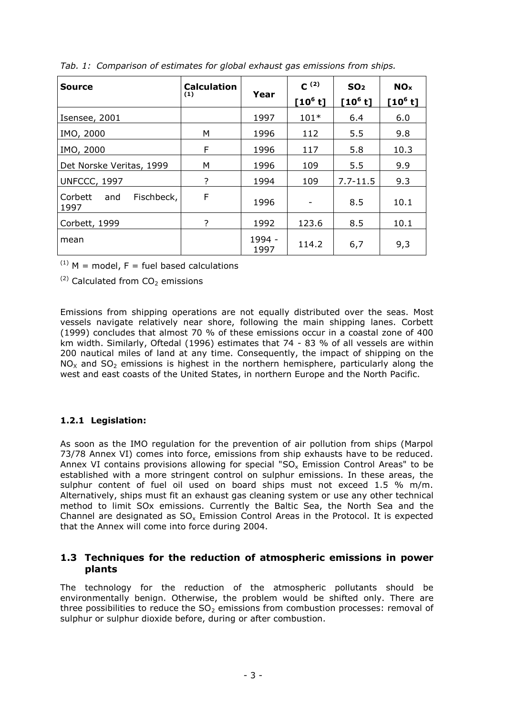| Source                               | <b>Calculation</b><br>Year<br>(1) |                | $C^{(2)}$<br>$[10^6 t]$ | SO <sub>2</sub><br>$[10^6 t]$ | <b>NO<sub>x</sub></b><br>$[10^6 t]$ |
|--------------------------------------|-----------------------------------|----------------|-------------------------|-------------------------------|-------------------------------------|
| Isensee, 2001                        |                                   | 1997           | $101*$                  | 6.4                           | 6.0                                 |
| IMO, 2000                            | М                                 | 1996           | 112                     | 5.5                           | 9.8                                 |
| IMO, 2000                            | F                                 | 1996           | 117                     | 5.8                           | 10.3                                |
| Det Norske Veritas, 1999             | M                                 | 1996           | 109                     | 5.5                           | 9.9                                 |
| <b>UNFCCC, 1997</b>                  | ?                                 | 1994           | 109                     | $7.7 - 11.5$                  | 9.3                                 |
| Fischbeck,<br>Corbett<br>and<br>1997 | F                                 | 1996           |                         | 8.5                           | 10.1                                |
| Corbett, 1999                        | ?                                 | 1992           | 123.6                   | 8.5                           | 10.1                                |
| mean                                 |                                   | 1994 -<br>1997 | 114.2                   | 6,7                           | 9,3                                 |

<span id="page-5-1"></span>*Tab. 1: Comparison of estimates for global exhaust gas emissions from ships.*

 $(1)$  M = model, F = fuel based calculations

 $(2)$  Calculated from CO<sub>2</sub> emissions

Emissions from shipping operations are not equally distributed over the seas. Most vessels navigate relatively near shore, following the main shipping lanes. Corbett (1999) concludes that almost 70 % of these emissions occur in a coastal zone of 400 km width. Similarly, Oftedal (1996) estimates that 74 - 83 % of all vessels are within 200 nautical miles of land at any time. Consequently, the impact of shipping on the  $NO<sub>x</sub>$  and  $SO<sub>2</sub>$  emissions is highest in the northern hemisphere, particularly along the west and east coasts of the United States, in northern Europe and the North Pacific.

## **1.2.1 Legislation:**

As soon as the IMO regulation for the prevention of air pollution from ships (Marpol 73/78 Annex VI) comes into force, emissions from ship exhausts have to be reduced. Annex VI contains provisions allowing for special "SO<sub>x</sub> Emission Control Areas" to be established with a more stringent control on sulphur emissions. In these areas, the sulphur content of fuel oil used on board ships must not exceed 1.5 % m/m. Alternatively, ships must fit an exhaust gas cleaning system or use any other technical method to limit SOx emissions. Currently the Baltic Sea, the North Sea and the Channel are designated as  $SO_x$  Emission Control Areas in the Protocol. It is expected that the Annex will come into force during 2004.

## <span id="page-5-0"></span>**1.3 Techniques for the reduction of atmospheric emissions in power plants**

The technology for the reduction of the atmospheric pollutants should be environmentally benign. Otherwise, the problem would be shifted only. There are three possibilities to reduce the  $SO<sub>2</sub>$  emissions from combustion processes: removal of sulphur or sulphur dioxide before, during or after combustion.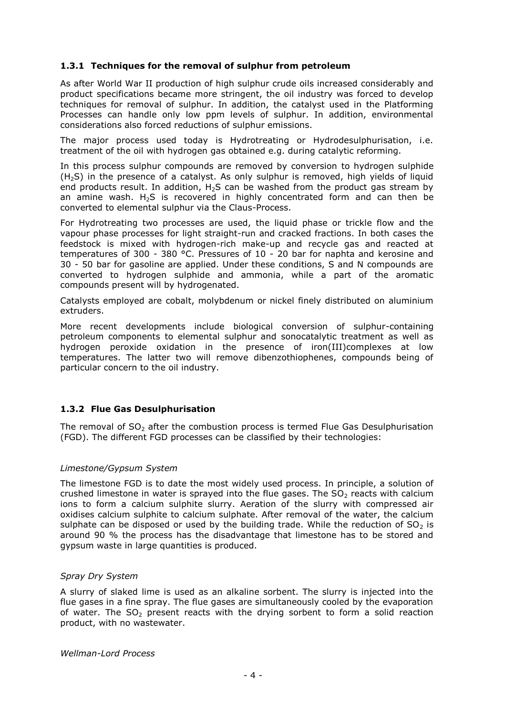#### **1.3.1 Techniques for the removal of sulphur from petroleum**

As after World War II production of high sulphur crude oils increased considerably and product specifications became more stringent, the oil industry was forced to develop techniques for removal of sulphur. In addition, the catalyst used in the Platforming Processes can handle only low ppm levels of sulphur. In addition, environmental considerations also forced reductions of sulphur emissions.

The major process used today is Hydrotreating or Hydrodesulphurisation, i.e. treatment of the oil with hydrogen gas obtained e.g. during catalytic reforming.

In this process sulphur compounds are removed by conversion to hydrogen sulphide (H2S) in the presence of a catalyst. As only sulphur is removed, high yields of liquid end products result. In addition,  $H_2S$  can be washed from the product gas stream by an amine wash.  $H_2S$  is recovered in highly concentrated form and can then be converted to elemental sulphur via the Claus-Process.

For Hydrotreating two processes are used, the liquid phase or trickle flow and the vapour phase processes for light straight-run and cracked fractions. In both cases the feedstock is mixed with hydrogen-rich make-up and recycle gas and reacted at temperatures of 300 - 380 °C. Pressures of 10 - 20 bar for naphta and kerosine and 30 - 50 bar for gasoline are applied. Under these conditions, S and N compounds are converted to hydrogen sulphide and ammonia, while a part of the aromatic compounds present will by hydrogenated.

Catalysts employed are cobalt, molybdenum or nickel finely distributed on aluminium extruders.

More recent developments include biological conversion of sulphur-containing petroleum components to elemental sulphur and sonocatalytic treatment as well as hydrogen peroxide oxidation in the presence of iron(III)complexes at low temperatures. The latter two will remove dibenzothiophenes, compounds being of particular concern to the oil industry.

#### **1.3.2 Flue Gas Desulphurisation**

The removal of  $SO<sub>2</sub>$  after the combustion process is termed Flue Gas Desulphurisation (FGD). The different FGD processes can be classified by their technologies:

#### *Limestone/Gypsum System*

The limestone FGD is to date the most widely used process. In principle, a solution of crushed limestone in water is sprayed into the flue gases. The  $SO<sub>2</sub>$  reacts with calcium ions to form a calcium sulphite slurry. Aeration of the slurry with compressed air oxidises calcium sulphite to calcium sulphate. After removal of the water, the calcium sulphate can be disposed or used by the building trade. While the reduction of  $SO<sub>2</sub>$  is around 90 % the process has the disadvantage that limestone has to be stored and gypsum waste in large quantities is produced.

#### *Spray Dry System*

A slurry of slaked lime is used as an alkaline sorbent. The slurry is injected into the flue gases in a fine spray. The flue gases are simultaneously cooled by the evaporation of water. The  $SO<sub>2</sub>$  present reacts with the drying sorbent to form a solid reaction product, with no wastewater.

*Wellman-Lord Process*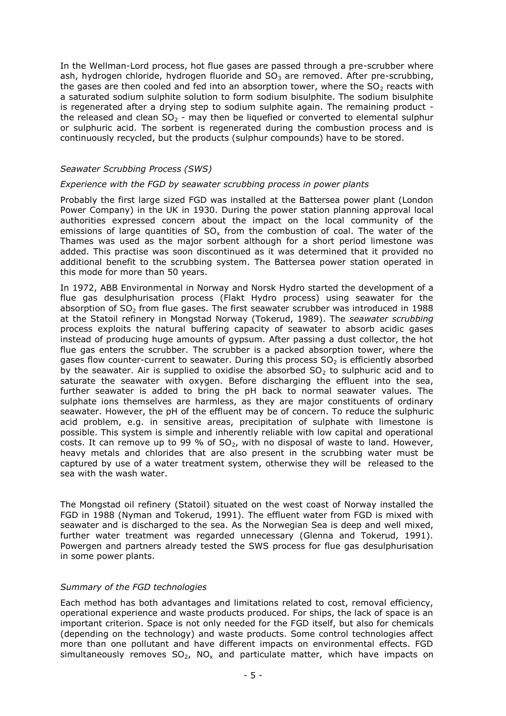In the Wellman-Lord process, hot flue gases are passed through a pre-scrubber where ash, hydrogen chloride, hydrogen fluoride and  $SO<sub>3</sub>$  are removed. After pre-scrubbing, the gases are then cooled and fed into an absorption tower, where the  $SO<sub>2</sub>$  reacts with a saturated sodium sulphite solution to form sodium bisulphite. The sodium bisulphite is regenerated after a drying step to sodium sulphite again. The remaining product the released and clean  $SO<sub>2</sub>$  - may then be liquefied or converted to elemental sulphur or sulphuric acid. The sorbent is regenerated during the combustion process and is continuously recycled, but the products (sulphur compounds) have to be stored.

#### *Seawater Scrubbing Process (SWS)*

#### *Experience with the FGD by seawater scrubbing process in power plants*

Probably the first large sized FGD was installed at the Battersea power plant (London Power Company) in the UK in 1930. During the power station planning approval local authorities expressed concern about the impact on the local community of the emissions of large quantities of  $SO<sub>x</sub>$  from the combustion of coal. The water of the Thames was used as the major sorbent although for a short period limestone was added. This practise was soon discontinued as it was determined that it provided no additional benefit to the scrubbing system. The Battersea power station operated in this mode for more than 50 years.

In 1972, ABB Environmental in Norway and Norsk Hydro started the development of a flue gas desulphurisation process (Flakt Hydro process) using seawater for the absorption of  $SO<sub>2</sub>$  from flue gases. The first seawater scrubber was introduced in 1988 at the Statoil refinery in Mongstad Norway (Tokerud, 1989). The *seawater scrubbing* process exploits the natural buffering capacity of seawater to absorb acidic gases instead of producing huge amounts of gypsum. After passing a dust collector, the hot flue gas enters the scrubber. The scrubber is a packed absorption tower, where the gases flow counter-current to seawater. During this process  $SO<sub>2</sub>$  is efficiently absorbed by the seawater. Air is supplied to oxidise the absorbed  $SO<sub>2</sub>$  to sulphuric acid and to saturate the seawater with oxygen. Before discharging the effluent into the sea, further seawater is added to bring the pH back to normal seawater values. The sulphate ions themselves are harmless, as they are major constituents of ordinary seawater. However, the pH of the effluent may be of concern. To reduce the sulphuric acid problem, e.g. in sensitive areas, precipitation of sulphate with limestone is possible. This system is simple and inherently reliable with low capital and operational costs. It can remove up to 99 % of  $SO<sub>2</sub>$ , with no disposal of waste to land. However, heavy metals and chlorides that are also present in the scrubbing water must be captured by use of a water treatment system, otherwise they will be released to the sea with the wash water.

The Mongstad oil refinery (Statoil) situated on the west coast of Norway installed the FGD in 1988 (Nyman and Tokerud, 1991). The effluent water from FGD is mixed with seawater and is discharged to the sea. As the Norwegian Sea is deep and well mixed, further water treatment was regarded unnecessary (Glenna and Tokerud, 1991). Powergen and partners already tested the SWS process for flue gas desulphurisation in some power plants.

#### *Summary of the FGD technologies*

Each method has both advantages and limitations related to cost, removal efficiency, operational experience and waste products produced. For ships, the lack of space is an important criterion. Space is not only needed for the FGD itself, but also for chemicals (depending on the technology) and waste products. Some control technologies affect more than one pollutant and have different impacts on environmental effects. FGD simultaneously removes  $SO_2$ , NO<sub>x</sub> and particulate matter, which have impacts on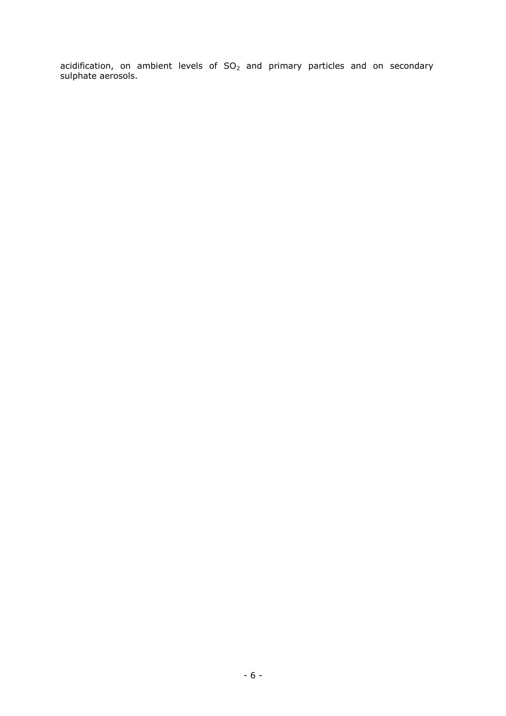acidification, on ambient levels of  $SO_2$  and primary particles and on secondary sulphate aerosols.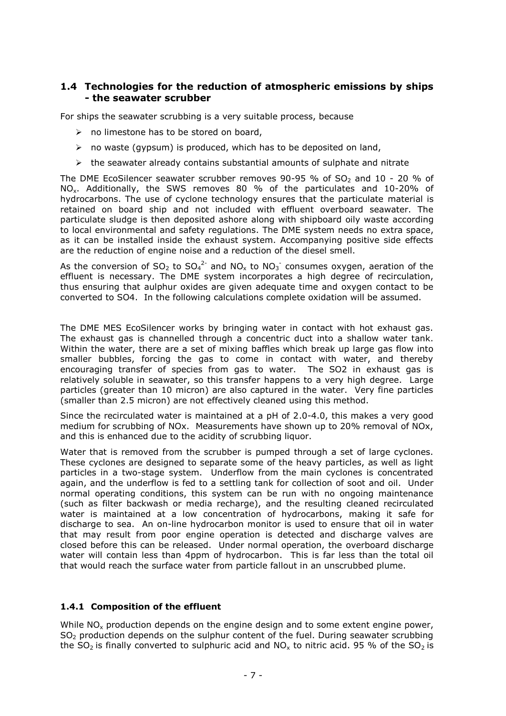## **1.4 Technologies for the reduction of atmospheric emissions by ships - the seawater scrubber**

For ships the seawater scrubbing is a very suitable process, because

- $\triangleright$  no limestone has to be stored on board,
- $\triangleright$  no waste (gypsum) is produced, which has to be deposited on land,
- $\triangleright$  the seawater already contains substantial amounts of sulphate and nitrate

The DME EcoSilencer seawater scrubber removes  $90-95$  % of SO<sub>2</sub> and 10 - 20 % of NOx. Additionally, the SWS removes 80 % of the particulates and 10-20% of hydrocarbons. The use of cyclone technology ensures that the particulate material is retained on board ship and not included with effluent overboard seawater. The particulate sludge is then deposited ashore along with shipboard oily waste according to local environmental and safety regulations. The DME system needs no extra space, as it can be installed inside the exhaust system. Accompanying positive side effects are the reduction of engine noise and a reduction of the diesel smell.

As the conversion of SO<sub>2</sub> to SO<sub>4</sub><sup>2-</sup> and NO<sub>x</sub> to NO<sub>3</sub><sup>-</sup> consumes oxygen, aeration of the effluent is necessary. The DME system incorporates a high degree of recirculation, thus ensuring that aulphur oxides are given adequate time and oxygen contact to be converted to SO4. In the following calculations complete oxidation will be assumed.

The DME MES EcoSilencer works by bringing water in contact with hot exhaust gas. The exhaust gas is channelled through a concentric duct into a shallow water tank. Within the water, there are a set of mixing baffles which break up large gas flow into smaller bubbles, forcing the gas to come in contact with water, and thereby encouraging transfer of species from gas to water. The SO2 in exhaust gas is relatively soluble in seawater, so this transfer happens to a very high degree. Large particles (greater than 10 micron) are also captured in the water. Very fine particles (smaller than 2.5 micron) are not effectively cleaned using this method.

Since the recirculated water is maintained at a pH of 2.0-4.0, this makes a very good medium for scrubbing of NOx. Measurements have shown up to 20% removal of NOx, and this is enhanced due to the acidity of scrubbing liquor.

Water that is removed from the scrubber is pumped through a set of large cyclones. These cyclones are designed to separate some of the heavy particles, as well as light particles in a two-stage system. Underflow from the main cyclones is concentrated again, and the underflow is fed to a settling tank for collection of soot and oil. Under normal operating conditions, this system can be run with no ongoing maintenance (such as filter backwash or media recharge), and the resulting cleaned recirculated water is maintained at a low concentration of hydrocarbons, making it safe for discharge to sea. An on-line hydrocarbon monitor is used to ensure that oil in water that may result from poor engine operation is detected and discharge valves are closed before this can be released. Under normal operation, the overboard discharge water will contain less than 4ppm of hydrocarbon. This is far less than the total oil that would reach the surface water from particle fallout in an unscrubbed plume.

#### <span id="page-9-0"></span>**1.4.1 Composition of the effluent**

While NO<sub>x</sub> production depends on the engine design and to some extent engine power,  $SO<sub>2</sub>$  production depends on the sulphur content of the fuel. During seawater scrubbing the SO<sub>2</sub> is finally converted to sulphuric acid and NO<sub>x</sub> to nitric acid. 95 % of the SO<sub>2</sub> is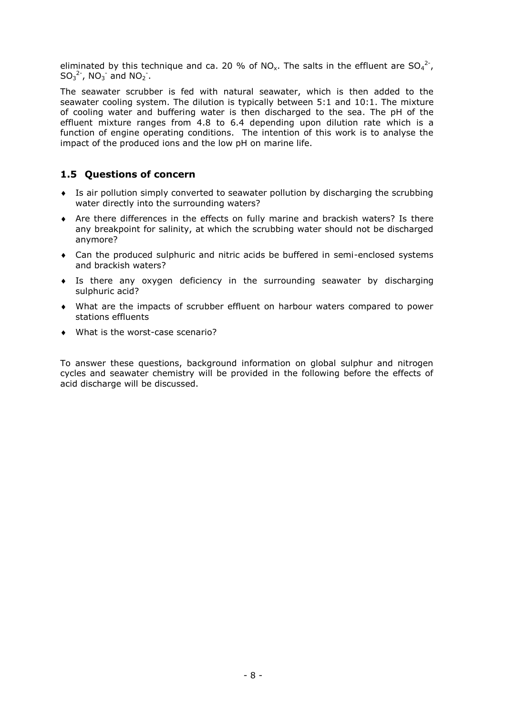eliminated by this technique and ca. 20 % of NO<sub>x</sub>. The salts in the effluent are SO<sub>4</sub><sup>2-</sup>,  $SO_3^2$ ,  $NO_3^-$  and  $NO_2^-$ .

The seawater scrubber is fed with natural seawater, which is then added to the seawater cooling system. The dilution is typically between 5:1 and 10:1. The mixture of cooling water and buffering water is then discharged to the sea. The pH of the effluent mixture ranges from 4.8 to 6.4 depending upon dilution rate which is a function of engine operating conditions. The intention of this work is to analyse the impact of the produced ions and the low pH on marine life.

## **1.5 Questions of concern**

- Is air pollution simply converted to seawater pollution by discharging the scrubbing water directly into the surrounding waters?
- Are there differences in the effects on fully marine and brackish waters? Is there any breakpoint for salinity, at which the scrubbing water should not be discharged anymore?
- Can the produced sulphuric and nitric acids be buffered in semi-enclosed systems and brackish waters?
- Is there any oxygen deficiency in the surrounding seawater by discharging sulphuric acid?
- What are the impacts of scrubber effluent on harbour waters compared to power stations effluents
- What is the worst-case scenario?

To answer these questions, background information on global sulphur and nitrogen cycles and seawater chemistry will be provided in the following before the effects of acid discharge will be discussed.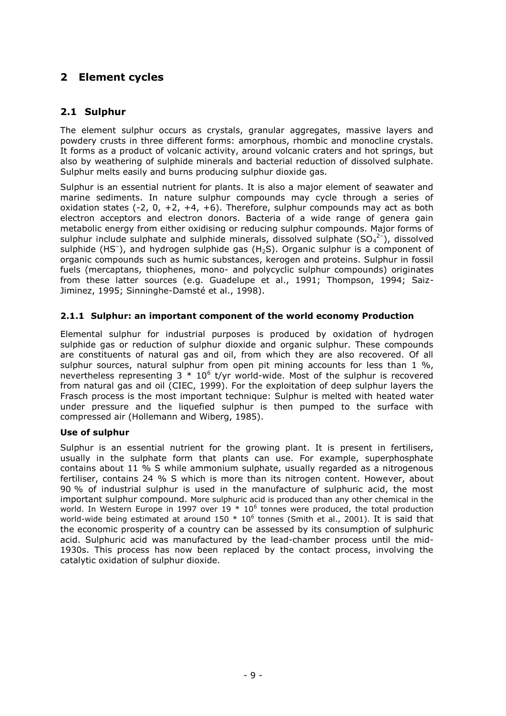# **2 Element cycles**

## **2.1 Sulphur**

The element sulphur occurs as crystals, granular aggregates, massive layers and powdery crusts in three different forms: amorphous, rhombic and monocline crystals. It forms as a product of volcanic activity, around volcanic craters and hot springs, but also by weathering of sulphide minerals and bacterial reduction of dissolved sulphate. Sulphur melts easily and burns producing sulphur dioxide gas.

Sulphur is an essential nutrient for plants. It is also a major element of seawater and marine sediments. In nature sulphur compounds may cycle through a series of oxidation states  $(-2, 0, +2, +4, +6)$ . Therefore, sulphur compounds may act as both electron acceptors and electron donors. Bacteria of a wide range of genera gain metabolic energy from either oxidising or reducing sulphur compounds. Major forms of sulphur include sulphate and sulphide minerals, dissolved sulphate  $(SO_4^2)$ , dissolved sulphide (HS<sup>-</sup>), and hydrogen sulphide gas (H<sub>2</sub>S). Organic sulphur is a component of organic compounds such as humic substances, kerogen and proteins. Sulphur in fossil fuels (mercaptans, thiophenes, mono- and polycyclic sulphur compounds) originates from these latter sources (e.g. Guadelupe et al., 1991; Thompson, 1994; Saiz-Jiminez, 1995; Sinninghe-Damsté et al., 1998).

#### **2.1.1 Sulphur: an important component of the world economy Production**

Elemental sulphur for industrial purposes is produced by oxidation of hydrogen sulphide gas or reduction of sulphur dioxide and organic sulphur. These compounds are constituents of natural gas and oil, from which they are also recovered. Of all sulphur sources, natural sulphur from open pit mining accounts for less than  $1\%$ , nevertheless representing  $3 * 10^6$  t/yr world-wide. Most of the sulphur is recovered from natural gas and oil (CIEC, 1999). For the exploitation of deep sulphur layers the Frasch process is the most important technique: Sulphur is melted with heated water under pressure and the liquefied sulphur is then pumped to the surface with compressed air (Hollemann and Wiberg, 1985).

#### **Use of sulphur**

Sulphur is an essential nutrient for the growing plant. It is present in fertilisers, usually in the sulphate form that plants can use. For example, superphosphate contains about 11 % S while ammonium sulphate, usually regarded as a nitrogenous fertiliser, contains 24 % S which is more than its nitrogen content. However, about 90 % of industrial sulphur is used in the manufacture of sulphuric acid, the most important sulphur compound. More sulphuric acid is produced than any other chemical in the world. In Western Europe in 1997 over 19  $*$  10<sup>6</sup> tonnes were produced, the total production world-wide being estimated at around 150  $*$  10<sup>6</sup> tonnes (Smith et al., 2001). It is said that the economic prosperity of a country can be assessed by its consumption of sulphuric acid. Sulphuric acid was manufactured by the lead-chamber process until the mid-1930s. This process has now been replaced by the contact process, involving the catalytic oxidation of sulphur dioxide.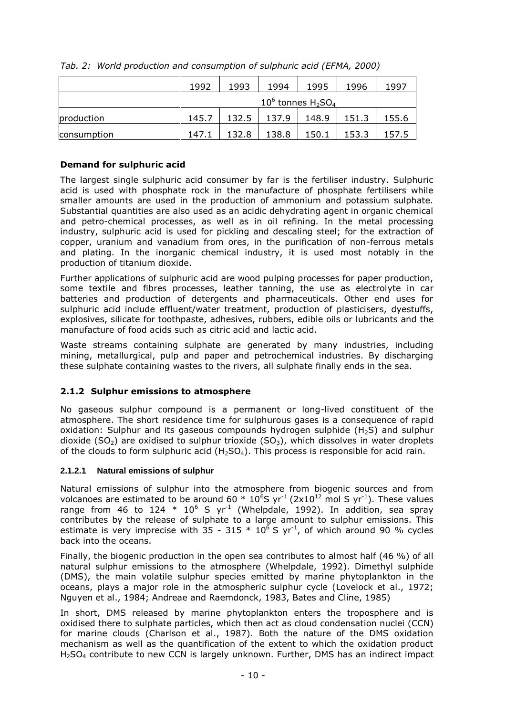|             | 1992  | 1993  | 1994                                | 1995  | 1996  | 1997  |
|-------------|-------|-------|-------------------------------------|-------|-------|-------|
|             |       |       | $10^6$ tonnes $H_2$ SO <sub>4</sub> |       |       |       |
| production  | 145.7 | 132.5 | 137.9                               | 148.9 | 151.3 | 155.6 |
| consumption | 147.1 | 132.8 | 138.8                               | 150.1 | 153.3 | 157.5 |

*Tab. 2: World production and consumption of sulphuric acid (EFMA, 2000)*

## **Demand for sulphuric acid**

The largest single sulphuric acid consumer by far is the fertiliser industry. Sulphuric acid is used with phosphate rock in the manufacture of phosphate fertilisers while smaller amounts are used in the production of ammonium and potassium sulphate. Substantial quantities are also used as an acidic dehydrating agent in organic chemical and petro-chemical processes, as well as in oil refining. In the metal processing industry, sulphuric acid is used for pickling and descaling steel; for the extraction of copper, uranium and vanadium from ores, in the purification of non-ferrous metals and plating. In the inorganic chemical industry, it is used most notably in the production of titanium dioxide.

Further applications of sulphuric acid are wood pulping processes for paper production, some textile and fibres processes, leather tanning, the use as electrolyte in car batteries and production of detergents and pharmaceuticals. Other end uses for sulphuric acid include effluent/water treatment, production of plasticisers, dyestuffs, explosives, silicate for toothpaste, adhesives, rubbers, edible oils or lubricants and the manufacture of food acids such as citric acid and lactic acid.

Waste streams containing sulphate are generated by many industries, including mining, metallurgical, pulp and paper and petrochemical industries. By discharging these sulphate containing wastes to the rivers, all sulphate finally ends in the sea.

## **2.1.2 Sulphur emissions to atmosphere**

No gaseous sulphur compound is a permanent or long-lived constituent of the atmosphere. The short residence time for sulphurous gases is a consequence of rapid oxidation: Sulphur and its gaseous compounds hydrogen sulphide  $(H_2S)$  and sulphur dioxide (SO<sub>2</sub>) are oxidised to sulphur trioxide (SO<sub>3</sub>), which dissolves in water droplets of the clouds to form sulphuric acid  $(H_2SO_4)$ . This process is responsible for acid rain.

## **2.1.2.1 Natural emissions of sulphur**

Natural emissions of sulphur into the atmosphere from biogenic sources and from volcanoes are estimated to be around 60  $*$  10<sup>6</sup>S yr<sup>-1</sup> (2x10<sup>12</sup> mol S yr<sup>-1</sup>). These values range from 46 to 124  $*$  10<sup>6</sup> S yr<sup>-1</sup> (Whelpdale, 1992). In addition, sea spray contributes by the release of sulphate to a large amount to sulphur emissions. This estimate is very imprecise with 35 - 315  $*$  10<sup>6</sup> S yr<sup>-1</sup>, of which around 90 % cycles back into the oceans.

Finally, the biogenic production in the open sea contributes to almost half (46 %) of all natural sulphur emissions to the atmosphere (Whelpdale, 1992). Dimethyl sulphide (DMS), the main volatile sulphur species emitted by marine phytoplankton in the oceans, plays a major role in the atmospheric sulphur cycle (Lovelock et al., 1972; Nguyen et al., 1984; Andreae and Raemdonck, 1983, Bates and Cline, 1985)

In short, DMS released by marine phytoplankton enters the troposphere and is oxidised there to sulphate particles, which then act as cloud condensation nuclei (CCN) for marine clouds (Charlson et al., 1987). Both the nature of the DMS oxidation mechanism as well as the quantification of the extent to which the oxidation product H2SO<sup>4</sup> contribute to new CCN is largely unknown. Further, DMS has an indirect impact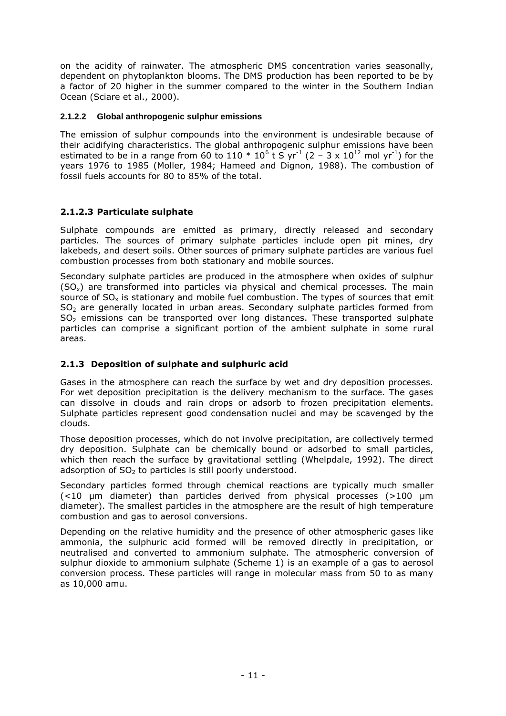on the acidity of rainwater. The atmospheric DMS concentration varies seasonally, dependent on phytoplankton blooms. The DMS production has been reported to be by a factor of 20 higher in the summer compared to the winter in the Southern Indian Ocean (Sciare et al., 2000).

#### <span id="page-13-0"></span>**2.1.2.2 Global anthropogenic sulphur emissions**

The emission of sulphur compounds into the environment is undesirable because of their acidifying characteristics. The global anthropogenic sulphur emissions have been estimated to be in a range from 60 to 110  $*$  10<sup>6</sup> t S yr<sup>-1</sup> (2 – 3 x 10<sup>12</sup> mol yr<sup>-1</sup>) for the years 1976 to 1985 (Moller, 1984; Hameed and Dignon, 1988). The combustion of fossil fuels accounts for 80 to 85% of the total.

#### **2.1.2.3 Particulate sulphate**

Sulphate compounds are emitted as primary, directly released and secondary particles. The sources of primary sulphate particles include open pit mines, dry lakebeds, and desert soils. Other sources of primary sulphate particles are various fuel combustion processes from both stationary and mobile sources.

Secondary sulphate particles are produced in the atmosphere when oxides of sulphur  $(SO<sub>x</sub>)$  are transformed into particles via physical and chemical processes. The main source of  $SO<sub>x</sub>$  is stationary and mobile fuel combustion. The types of sources that emit SO<sub>2</sub> are generally located in urban areas. Secondary sulphate particles formed from  $SO<sub>2</sub>$  emissions can be transported over long distances. These transported sulphate particles can comprise a significant portion of the ambient sulphate in some rural areas.

#### **2.1.3 Deposition of sulphate and sulphuric acid**

Gases in the atmosphere can reach the surface by wet and dry deposition processes. For wet deposition precipitation is the delivery mechanism to the surface. The gases can dissolve in clouds and rain drops or adsorb to frozen precipitation elements. Sulphate particles represent good condensation nuclei and may be scavenged by the clouds.

Those deposition processes, which do not involve precipitation, are collectively termed dry deposition. Sulphate can be chemically bound or adsorbed to small particles, which then reach the surface by gravitational settling (Whelpdale, 1992). The direct adsorption of  $SO<sub>2</sub>$  to particles is still poorly understood.

Secondary particles formed through chemical reactions are typically much smaller (<10 µm diameter) than particles derived from physical processes (>100 µm diameter). The smallest particles in the atmosphere are the result of high temperature combustion and gas to aerosol conversions.

Depending on the relative humidity and the presence of other atmospheric gases like ammonia, the sulphuric acid formed will be removed directly in precipitation, or neutralised and converted to ammonium sulphate. The atmospheric conversion of sulphur dioxide to ammonium sulphate (Scheme 1) is an example of a gas to aerosol conversion process. These particles will range in molecular mass from 50 to as many as 10,000 amu.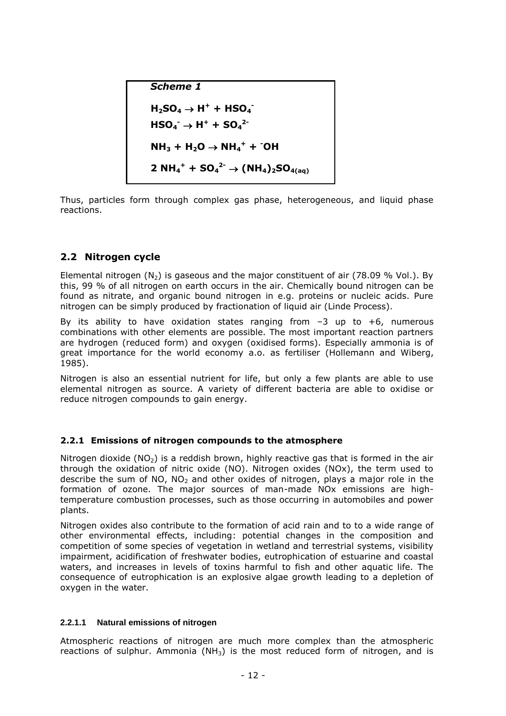*Scheme 1*  $H_2$ **SO**<sub>4</sub>  $\rightarrow$  **H**<sup>+</sup> + **HSO**<sub>4</sub><sup> $\rightarrow$ </sup>  $HSO_4^ \rightarrow$   $H^+$   $+$   $SO_4^2$ <sup>-</sup>  $NH_3 + H_2O \rightarrow NH_4^+ + CO$ **2 NH**<sub>4</sub><sup>+</sup> **+ SO**<sub>4</sub><sup>2</sup>  $\rightarrow$  (NH<sub>4</sub>)<sub>2</sub>SO<sub>4(aq)</sub>

Thus, particles form through complex gas phase, heterogeneous, and liquid phase reactions.

## **2.2 Nitrogen cycle**

Elemental nitrogen  $(N_2)$  is gaseous and the major constituent of air (78.09 % Vol.). By this, 99 % of all nitrogen on earth occurs in the air. Chemically bound nitrogen can be found as nitrate, and organic bound nitrogen in e.g. proteins or nucleic acids. Pure nitrogen can be simply produced by fractionation of liquid air (Linde Process).

By its ability to have oxidation states ranging from  $-3$  up to  $+6$ , numerous combinations with other elements are possible. The most important reaction partners are hydrogen (reduced form) and oxygen (oxidised forms). Especially ammonia is of great importance for the world economy a.o. as fertiliser (Hollemann and Wiberg, 1985).

Nitrogen is also an essential nutrient for life, but only a few plants are able to use elemental nitrogen as source. A variety of different bacteria are able to oxidise or reduce nitrogen compounds to gain energy.

## **2.2.1 Emissions of nitrogen compounds to the atmosphere**

Nitrogen dioxide ( $NO<sub>2</sub>$ ) is a reddish brown, highly reactive gas that is formed in the air through the oxidation of nitric oxide (NO). Nitrogen oxides (NOx), the term used to describe the sum of NO, NO<sub>2</sub> and other oxides of nitrogen, plays a major role in the formation of ozone. The major sources of man-made NOx emissions are hightemperature combustion processes, such as those occurring in automobiles and power plants.

Nitrogen oxides also contribute to the formation of acid rain and to to a wide range of other environmental effects, including: potential changes in the composition and competition of some species of vegetation in wetland and terrestrial systems, visibility impairment, acidification of freshwater bodies, eutrophication of estuarine and coastal waters, and increases in levels of toxins harmful to fish and other aquatic life. The consequence of eutrophication is an explosive algae growth leading to a depletion of oxygen in the water.

## **2.2.1.1 Natural emissions of nitrogen**

Atmospheric reactions of nitrogen are much more complex than the atmospheric reactions of sulphur. Ammonia (NH<sub>3</sub>) is the most reduced form of nitrogen, and is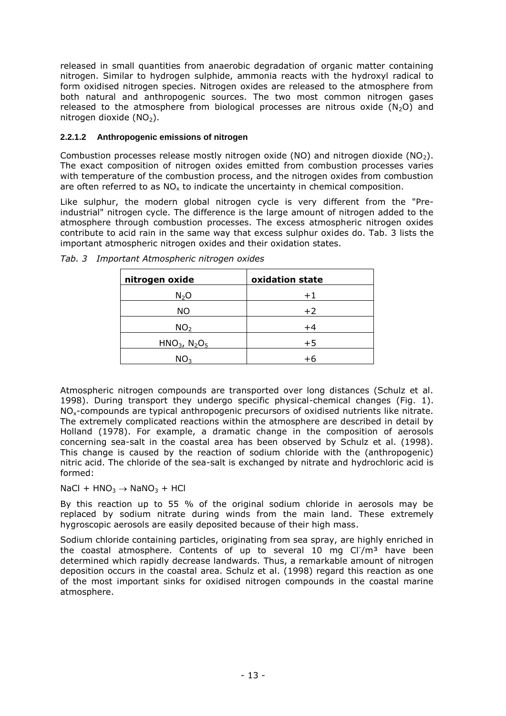released in small quantities from anaerobic degradation of organic matter containing nitrogen. Similar to hydrogen sulphide, ammonia reacts with the hydroxyl radical to form oxidised nitrogen species. Nitrogen oxides are released to the atmosphere from both natural and anthropogenic sources. The two most common nitrogen gases released to the atmosphere from biological processes are nitrous oxide  $(N_2O)$  and nitrogen dioxide  $(NO<sub>2</sub>)$ .

#### <span id="page-15-0"></span>**2.2.1.2 Anthropogenic emissions of nitrogen**

Combustion processes release mostly nitrogen oxide (NO) and nitrogen dioxide (NO<sub>2</sub>). The exact composition of nitrogen oxides emitted from combustion processes varies with temperature of the combustion process, and the nitrogen oxides from combustion are often referred to as  $NO<sub>x</sub>$  to indicate the uncertainty in chemical composition.

Like sulphur, the modern global nitrogen cycle is very different from the "Preindustrial" nitrogen cycle. The difference is the large amount of nitrogen added to the atmosphere through combustion processes. The excess atmospheric nitrogen oxides contribute to acid rain in the same way that excess sulphur oxides do. [Tab. 3](#page-15-1) lists the important atmospheric nitrogen oxides and their oxidation states.

| nitrogen oxide              | oxidation state |
|-----------------------------|-----------------|
| $N_2O$                      | $+1$            |
| ΝO                          | $+2$            |
| NO <sub>2</sub>             | $+4$            |
| HNO <sub>3</sub> , $N_2O_5$ | $+5$            |
| NO <sub>3</sub>             | +6              |

<span id="page-15-1"></span>

|  |  |  | Tab. 3 Important Atmospheric nitrogen oxides |  |  |
|--|--|--|----------------------------------------------|--|--|
|--|--|--|----------------------------------------------|--|--|

Atmospheric nitrogen compounds are transported over long distances (Schulz et al. 1998). During transport they undergo specific physical-chemical changes [\(Fig. 1\)](#page-16-0). NOx-compounds are typical anthropogenic precursors of oxidised nutrients like nitrate. The extremely complicated reactions within the atmosphere are described in detail by Holland (1978). For example, a dramatic change in the composition of aerosols concerning sea-salt in the coastal area has been observed by Schulz et al. (1998). This change is caused by the reaction of sodium chloride with the (anthropogenic) nitric acid. The chloride of the sea-salt is exchanged by nitrate and hydrochloric acid is formed:

 $NaCl + HNO<sub>3</sub> \rightarrow NaNO<sub>3</sub> + HCl$ 

By this reaction up to 55 % of the original sodium chloride in aerosols may be replaced by sodium nitrate during winds from the main land. These extremely hygroscopic aerosols are easily deposited because of their high mass.

Sodium chloride containing particles, originating from sea spray, are highly enriched in the coastal atmosphere. Contents of up to several 10 mg  $Cl/m<sup>3</sup>$  have been determined which rapidly decrease landwards. Thus, a remarkable amount of nitrogen deposition occurs in the coastal area. Schulz et al. (1998) regard this reaction as one of the most important sinks for oxidised nitrogen compounds in the coastal marine atmosphere.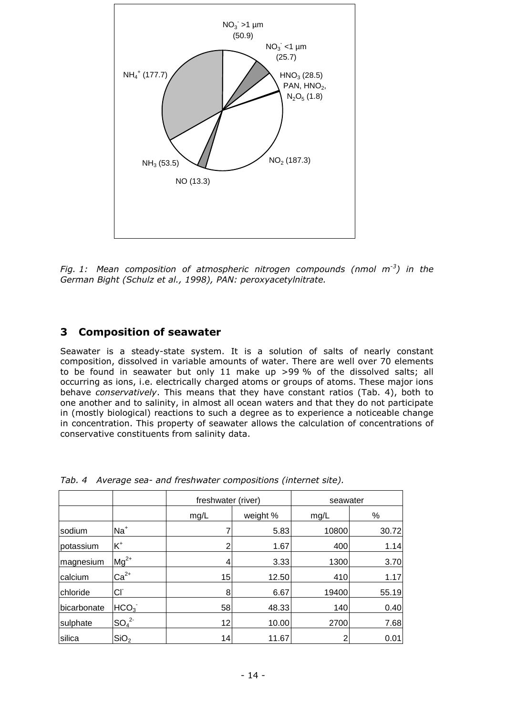

<span id="page-16-0"></span>*Fig. 1: Mean composition of atmospheric nitrogen compounds (nmol m-3 ) in the German Bight (Schulz et al., 1998), PAN: peroxyacetylnitrate.*

## **3 Composition of seawater**

Seawater is a steady-state system. It is a solution of salts of nearly constant composition, dissolved in variable amounts of water. There are well over 70 elements to be found in seawater but only 11 make up >99 % of the dissolved salts; all occurring as ions, i.e. electrically charged atoms or groups of atoms. These major ions behave *conservatively*. This means that they have constant ratios [\(Tab. 4\)](#page-16-1), both to one another and to salinity, in almost all ocean waters and that they do not participate in (mostly biological) reactions to such a degree as to experience a noticeable change in concentration. This property of seawater allows the calculation of concentrations of conservative constituents from salinity data.

|             |                              | freshwater (river) |          | seawater |       |  |
|-------------|------------------------------|--------------------|----------|----------|-------|--|
|             |                              | mg/L               | weight % | mg/L     | %     |  |
| Isodium     | $Na+$                        |                    | 5.83     | 10800    | 30.72 |  |
| potassium   | $K^+$                        | 2                  | 1.67     | 400      | 1.14  |  |
| magnesium   | $Mg^{2+}$                    | 4                  | 3.33     | 1300     | 3.70  |  |
| calcium     | $Ca2+$                       | 15                 | 12.50    | 410      | 1.17  |  |
| chloride    | Сľ                           | 8                  | 6.67     | 19400    | 55.19 |  |
| bicarbonate | HCO <sub>3</sub>             | 58                 | 48.33    | 140      | 0.40  |  |
| sulphate    | SO <sub>4</sub> <sup>2</sup> | 12                 | 10.00    | 2700     | 7.68  |  |
| silica      | SiO <sub>2</sub>             | 14                 | 11.67    | 2        | 0.01  |  |

<span id="page-16-1"></span>*Tab. 4 Average sea- and freshwater compositions (internet site).*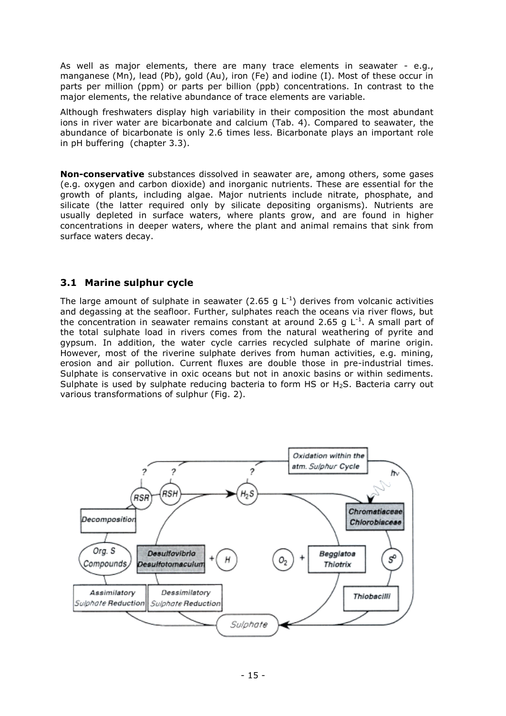As well as major elements, there are many trace elements in seawater - e.g., manganese (Mn), lead (Pb), gold (Au), iron (Fe) and iodine (I). Most of these occur in parts per million (ppm) or parts per billion (ppb) concentrations. In contrast to the major elements, the relative abundance of trace elements are variable.

Although freshwaters display high variability in their composition the most abundant ions in river water are bicarbonate and calcium (Tab. 4). Compared to seawater, the abundance of bicarbonate is only 2.6 times less. Bicarbonate plays an important role in pH buffering (chapter [3.3\)](#page-20-0).

**Non-conservative** substances dissolved in seawater are, among others, some gases (e.g. oxygen and carbon dioxide) and inorganic nutrients. These are essential for the growth of plants, including algae. Major nutrients include nitrate, phosphate, and silicate (the latter required only by silicate depositing organisms). Nutrients are usually depleted in surface waters, where plants grow, and are found in higher concentrations in deeper waters, where the plant and animal remains that sink from surface waters decay.

#### **3.1 Marine sulphur cycle**

The large amount of sulphate in seawater (2.65 g  $L^{-1}$ ) derives from volcanic activities and degassing at the seafloor. Further, sulphates reach the oceans via river flows, but the concentration in seawater remains constant at around 2.65 g  $L^{-1}$ . A small part of the total sulphate load in rivers comes from the natural weathering of pyrite and gypsum. In addition, the water cycle carries recycled sulphate of marine origin. However, most of the riverine sulphate derives from human activities, e.g. mining, erosion and air pollution. Current fluxes are double those in pre-industrial times. Sulphate is conservative in oxic oceans but not in anoxic basins or within sediments. Sulphate is used by sulphate reducing bacteria to form HS or  $H_2S$ . Bacteria carry out various transformations of sulphur [\(Fig. 2\)](#page-18-0).

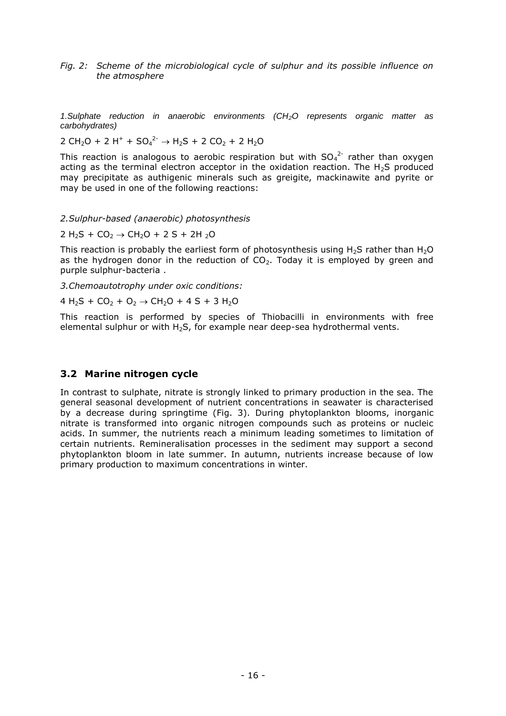<span id="page-18-0"></span>*Fig. 2: Scheme of the microbiological cycle of sulphur and its possible influence on the atmosphere*

*1.Sulphate reduction in anaerobic environments (CH2O represents organic matter as carbohydrates)*

2 CH<sub>2</sub>O + 2 H<sup>+</sup> + SO<sub>4</sub><sup>2-</sup>  $\rightarrow$  H<sub>2</sub>S + 2 CO<sub>2</sub> + 2 H<sub>2</sub>O

This reaction is analogous to aerobic respiration but with  $SO_4^2$  rather than oxygen acting as the terminal electron acceptor in the oxidation reaction. The  $H_2S$  produced may precipitate as authigenic minerals such as greigite, mackinawite and pyrite or may be used in one of the following reactions:

#### *2.Sulphur-based (anaerobic) photosynthesis*

2 H<sub>2</sub>S + CO<sub>2</sub>  $\rightarrow$  CH<sub>2</sub>O + 2 S + 2H<sub>2</sub>O

This reaction is probably the earliest form of photosynthesis using  $H_2S$  rather than  $H_2O$ as the hydrogen donor in the reduction of  $CO<sub>2</sub>$ . Today it is employed by green and purple sulphur-bacteria .

*3.Chemoautotrophy under oxic conditions:*

 $4 H_2S + CO_2 + O_2 \rightarrow CH_2O + 4 S + 3 H_2O$ 

This reaction is performed by species of Thiobacilli in environments with free elemental sulphur or with  $H_2S$ , for example near deep-sea hydrothermal vents.

#### **3.2 Marine nitrogen cycle**

In contrast to sulphate, nitrate is strongly linked to primary production in the sea. The general seasonal development of nutrient concentrations in seawater is characterised by a decrease during springtime [\(Fig. 3\)](#page-19-0). During phytoplankton blooms, inorganic nitrate is transformed into organic nitrogen compounds such as proteins or nucleic acids. In summer, the nutrients reach a minimum leading sometimes to limitation of certain nutrients. Remineralisation processes in the sediment may support a second phytoplankton bloom in late summer. In autumn, nutrients increase because of low primary production to maximum concentrations in winter.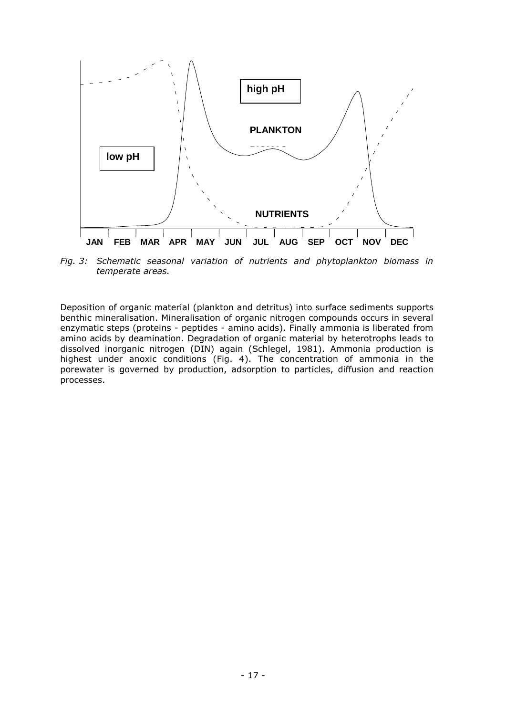

<span id="page-19-0"></span>*Fig. 3: Schematic seasonal variation of nutrients and phytoplankton biomass in temperate areas.*

Deposition of organic material (plankton and detritus) into surface sediments supports benthic mineralisation. Mineralisation of organic nitrogen compounds occurs in several enzymatic steps (proteins - peptides - amino acids). Finally ammonia is liberated from amino acids by deamination. Degradation of organic material by heterotrophs leads to dissolved inorganic nitrogen (DIN) again (Schlegel, 1981). Ammonia production is highest under anoxic conditions (Fig. 4). The concentration of ammonia in the porewater is governed by production, adsorption to particles, diffusion and reaction processes.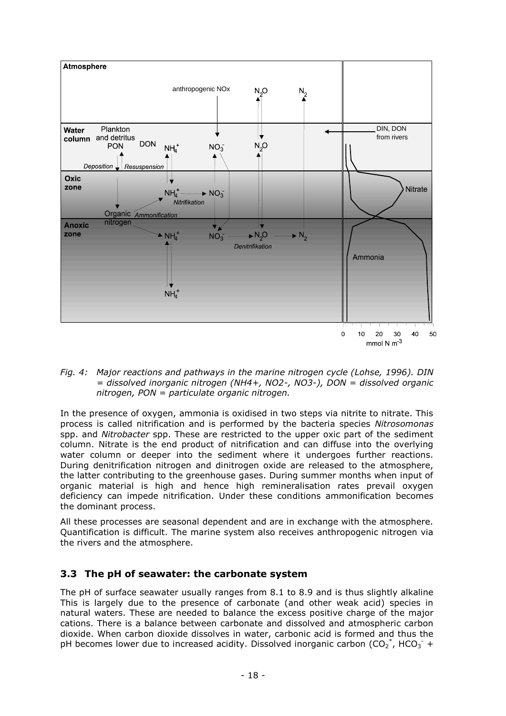

*Fig. 4: Major reactions and pathways in the marine nitrogen cycle (Lohse, 1996). DIN = dissolved inorganic nitrogen (NH4+, NO2-, NO3-), DON = dissolved organic nitrogen, PON = particulate organic nitrogen.* 

In the presence of oxygen, ammonia is oxidised in two steps via nitrite to nitrate. This process is called nitrification and is performed by the bacteria species *Nitrosomonas* spp. and *Nitrobacter* spp. These are restricted to the upper oxic part of the sediment column. Nitrate is the end product of nitrification and can diffuse into the overlying water column or deeper into the sediment where it undergoes further reactions. During denitrification nitrogen and dinitrogen oxide are released to the atmosphere, the latter contributing to the greenhouse gases. During summer months when input of organic material is high and hence high remineralisation rates prevail oxygen deficiency can impede nitrification. Under these conditions ammonification becomes the dominant process.

All these processes are seasonal dependent and are in exchange with the atmosphere. Quantification is difficult. The marine system also receives anthropogenic nitrogen via the rivers and the atmosphere.

## <span id="page-20-0"></span>**3.3 The pH of seawater: the carbonate system**

The pH of surface seawater usually ranges from 8.1 to 8.9 and is thus slightly alkaline This is largely due to the presence of carbonate (and other weak acid) species in natural waters. These are needed to balance the excess positive charge of the major cations. There is a balance between carbonate and dissolved and atmospheric carbon dioxide. When carbon dioxide dissolves in water, carbonic acid is formed and thus the pH becomes lower due to increased acidity. Dissolved inorganic carbon (CO<sub>2</sub><sup>\*</sup>, HCO<sub>3</sub><sup>-</sup> +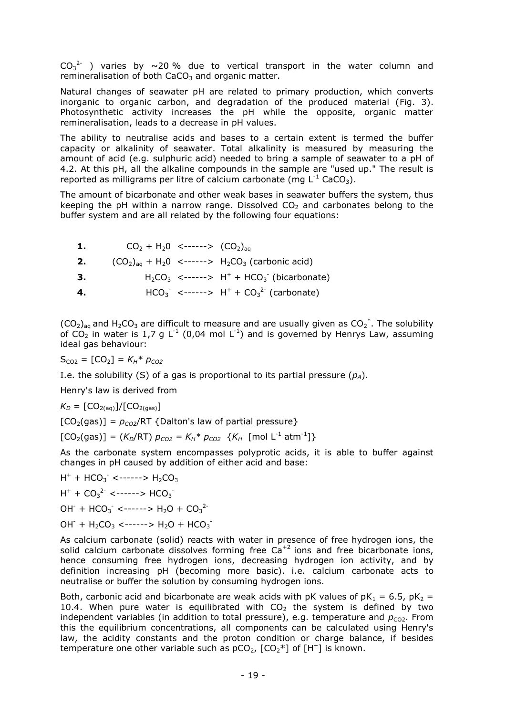$CO_3^{2}$  ) varies by  $\sim$ 20 % due to vertical transport in the water column and remineralisation of both  $CaCO<sub>3</sub>$  and organic matter.

Natural changes of seawater pH are related to primary production, which converts inorganic to organic carbon, and degradation of the produced material [\(Fig. 3\)](#page-19-0). Photosynthetic activity increases the pH while the opposite, organic matter remineralisation, leads to a decrease in pH values.

The ability to neutralise acids and bases to a certain extent is termed the buffer capacity or alkalinity of seawater. Total alkalinity is measured by measuring the amount of acid (e.g. sulphuric acid) needed to bring a sample of seawater to a pH of 4.2. At this pH, all the alkaline compounds in the sample are "used up." The result is reported as milligrams per litre of calcium carbonate (mg  $L^{-1}$  CaCO<sub>3</sub>).

The amount of bicarbonate and other weak bases in seawater buffers the system, thus keeping the pH within a narrow range. Dissolved  $CO<sub>2</sub>$  and carbonates belong to the buffer system and are all related by the following four equations:

| -1. | $CO2 + H20$ <------> $(CO2)aa$ |                                                            |
|-----|--------------------------------|------------------------------------------------------------|
| 2.  |                                | $(CO_2)_{aa} + H_2O \le$ ------> $H_2CO_3$ (carbonic acid) |
| 3.  |                                | $H_2CO_3$ <-----> $H^+ + HCO_3^-$ (bicarbonate)            |
| 4.  |                                | $HCO_3^-$ <------> $H^+ + CO_3^{2-}$ (carbonate)           |

 $(CO_2)_{aq}$  and H<sub>2</sub>CO<sub>3</sub> are difficult to measure and are usually given as  $CO_2^*$ . The solubility of CO<sub>2</sub> in water is 1,7 g L<sup>-1</sup> (0,04 mol L<sup>-1</sup>) and is governed by Henrys Law, assuming ideal gas behaviour:

 $S_{CO2} = [CO_2] = K_H * p_{CO2}$ 

I.e. the solubility (S) of a gas is proportional to its partial pressure  $(p_A)$ .

Henry's law is derived from

$$
K_D = [CO_{2(aq)}]/[CO_{2(gas)}]
$$

 $[CO<sub>2</sub>(gas)] = p<sub>CO2</sub>/RT$  {Dalton's law of partial pressure}

 $[CO_2(gas)] = (K_D/RT) p_{CO2} = K_H * p_{CO2} \{K_H \text{ [mol L}^{-1} atm^{-1}]\}$ 

As the carbonate system encompasses polyprotic acids, it is able to buffer against changes in pH caused by addition of either acid and base:

$$
H^{+} + HCO_{3}^{-} < \cdots > H_{2}CO_{3}
$$

 $H^+ + CO_3^2$  <------>  $HCO_3^-$ 

 $OH^- + HCO_3^- \leftarrow \rightarrow H_2O + CO_3^{2-}$ 

 $OH^- + H_2CO_3 \le$ ------>  $H_2O + HCO_3$ 

As calcium carbonate (solid) reacts with water in presence of free hydrogen ions, the solid calcium carbonate dissolves forming free  $Ca^{+2}$  ions and free bicarbonate ions, hence consuming free hydrogen ions, decreasing hydrogen ion activity, and by definition increasing pH (becoming more basic). i.e. calcium carbonate acts to neutralise or buffer the solution by consuming hydrogen ions.

Both, carbonic acid and bicarbonate are weak acids with pK values of  $pK_1 = 6.5$ ,  $pK_2 =$ 10.4. When pure water is equilibrated with  $CO<sub>2</sub>$  the system is defined by two independent variables (in addition to total pressure), e.g. temperature and  $p_{CO2}$ . From this the equilibrium concentrations, all components can be calculated using Henry's law, the acidity constants and the proton condition or charge balance, if besides temperature one other variable such as  $pCO_2$ ,  $[CO_2^*]$  of  $[H^+]$  is known.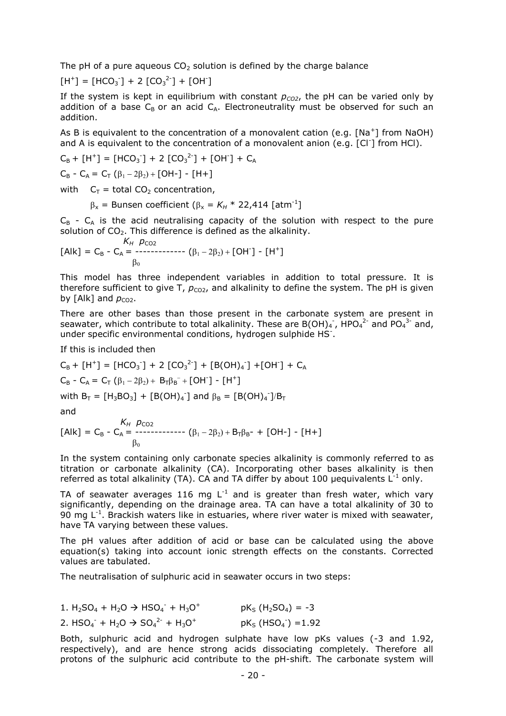The pH of a pure aqueous  $CO<sub>2</sub>$  solution is defined by the charge balance

$$
[H^+] = [HCO3]+ + 2 [CO32]+ + [OH-]
$$

If the system is kept in equilibrium with constant  $p_{CO2}$ , the pH can be varied only by addition of a base  $C_B$  or an acid  $C_A$ . Electroneutrality must be observed for such an addition.

As B is equivalent to the concentration of a monovalent cation (e.g.  $[Na^+]$  from NaOH) and A is equivalent to the concentration of a monovalent anion (e.g. [Cl<sup>-</sup>] from HCl).

$$
C_B + [H^+] = [HCO_3^-] + 2 [CO_3^2^-] + [OH^-] + C_A
$$

$$
C_B - C_A = C_T (\beta_1 - 2\beta_2) + [OH-] - [H+]
$$

with  $C_T$  = total CO<sub>2</sub> concentration,

$$
\beta_x = \text{Bunsen coefficient } (\beta_x = K_H * 22,414 \text{ [atm}^{-1}]
$$

 $C_B$  -  $C_A$  is the acid neutralising capacity of the solution with respect to the pure solution of  $CO<sub>2</sub>$ . This difference is defined as the alkalinity.

$$
K_H \ p_{CO2}
$$
  
[Alk] = C<sub>B</sub> - C<sub>A</sub> = 33.64  

$$
\beta_0
$$
  
[OH<sup>-</sup>] - [H<sup>+</sup>]  
[ $\beta_1$  - 2 $\beta_2$ ] + [OH<sup>-</sup>] - [H<sup>+</sup>]

This model has three independent variables in addition to total pressure. It is therefore sufficient to give T,  $p_{CO2}$ , and alkalinity to define the system. The pH is given by  $[Alk]$  and  $p_{CO2}$ .

There are other bases than those present in the carbonate system are present in seawater, which contribute to total alkalinity. These are B(OH)<sub>4</sub>, HPO<sub>4</sub><sup>2-</sup> and PO<sub>4</sub><sup>3-</sup> and, under specific environmental conditions, hydrogen sulphide HS<sup>-</sup>.

If this is included then

$$
C_B + [H^+] = [HCO_3^-] + 2 [CO_3^{2-}] + [B(OH)_4^-] + [OH^-] + C_A
$$
  
\n
$$
C_B - C_A = C_T (\beta_1 - 2\beta_2) + B_T\beta_B^- + [OH^-] - [H^+]
$$

with  $B_T = [H_3BO_3] + [B(OH)_4]$  and  $\beta_B = [B(OH)_4]$ 

and

$$
K_H \, p_{CO2}
$$
  
[Alk] = C<sub>B</sub> - C<sub>A</sub> = 333–333–344  

$$
\beta_0
$$
  
[Alk] = C<sub>B</sub> - C<sub>A</sub> = 333–344  

$$
\beta_0
$$

In the system containing only carbonate species alkalinity is commonly referred to as titration or carbonate alkalinity (CA). Incorporating other bases alkalinity is then referred as total alkalinity (TA). CA and TA differ by about 100 µequivalents  $\mathsf{L}^{\text{-1}}$  only.

TA of seawater averages 116 mg L<sup>-1</sup> and is greater than fresh water, which vary significantly, depending on the drainage area. TA can have a total alkalinity of 30 to 90 mg  $L^{-1}$ . Brackish waters like in estuaries, where river water is mixed with seawater, have TA varying between these values.

The pH values after addition of acid or base can be calculated using the above equation(s) taking into account ionic strength effects on the constants. Corrected values are tabulated.

The neutralisation of sulphuric acid in seawater occurs in two steps:

1.  $H_2SO_4 + H_2O \rightarrow HSO_4^- + H_3O^+$  pK<sub>S</sub> ( $H_2SO_4$ ) = -3 2.  $HSO_4$ <sup>-</sup> +  $H_2O \rightarrow SO_4$ <sup>2-</sup> +  $H_3O$ <sup>+</sup>  $pK_S$  (HSO<sub>4</sub><sup>-</sup>) =1.92

Both, sulphuric acid and hydrogen sulphate have low pKs values (-3 and 1.92, respectively), and are hence strong acids dissociating completely. Therefore all protons of the sulphuric acid contribute to the pH-shift. The carbonate system will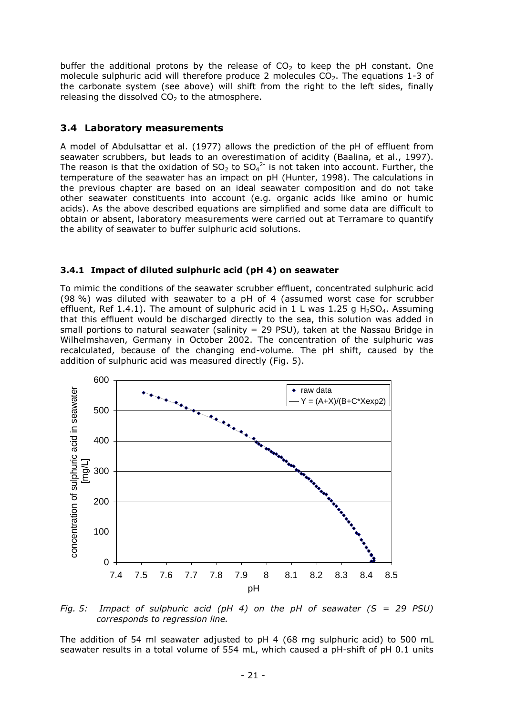buffer the additional protons by the release of  $CO<sub>2</sub>$  to keep the pH constant. One molecule sulphuric acid will therefore produce 2 molecules  $CO<sub>2</sub>$ . The equations 1-3 of the carbonate system (see above) will shift from the right to the left sides, finally releasing the dissolved  $CO<sub>2</sub>$  to the atmosphere.

#### **3.4 Laboratory measurements**

A model of Abdulsattar et al. (1977) allows the prediction of the pH of effluent from seawater scrubbers, but leads to an overestimation of acidity (Baalina, et al., 1997). The reason is that the oxidation of  $SO_2$  to  $SO_4^2$  is not taken into account. Further, the temperature of the seawater has an impact on pH (Hunter, 1998). The calculations in the previous chapter are based on an ideal seawater composition and do not take other seawater constituents into account (e.g. organic acids like amino or humic acids). As the above described equations are simplified and some data are difficult to obtain or absent, laboratory measurements were carried out at Terramare to quantify the ability of seawater to buffer sulphuric acid solutions.

#### **3.4.1 Impact of diluted sulphuric acid (pH 4) on seawater**

To mimic the conditions of the seawater scrubber effluent, concentrated sulphuric acid (98 %) was diluted with seawater to a pH of 4 (assumed worst case for scrubber effluent, Ref 1.4.1). The amount of sulphuric acid in 1 L was 1.25 g H<sub>2</sub>SO<sub>4</sub>. Assuming that this effluent would be discharged directly to the sea, this solution was added in small portions to natural seawater (salinity = 29 PSU), taken at the Nassau Bridge in Wilhelmshaven, Germany in October 2002. The concentration of the sulphuric was recalculated, because of the changing end-volume. The pH shift, caused by the addition of sulphuric acid was measured directly [\(Fig. 5\)](#page-23-0).



<span id="page-23-0"></span>*Fig. 5: Impact of sulphuric acid (pH 4) on the pH of seawater (S = 29 PSU) corresponds to regression line.*

The addition of 54 ml seawater adjusted to pH 4 (68 mg sulphuric acid) to 500 mL seawater results in a total volume of 554 mL, which caused a pH-shift of pH 0.1 units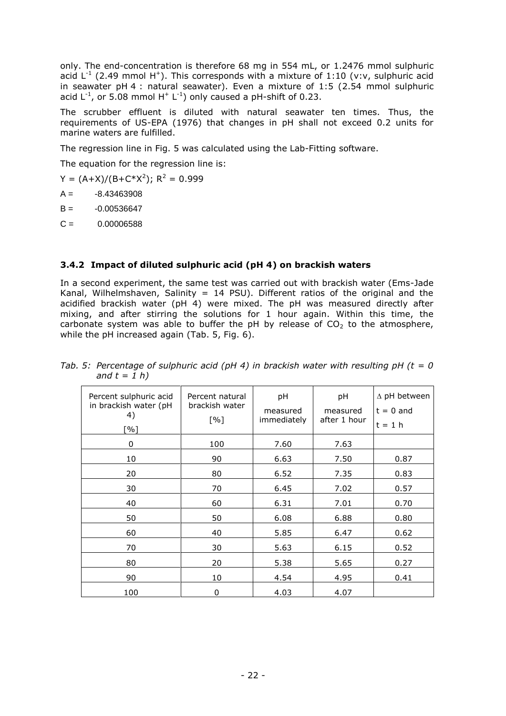only. The end-concentration is therefore 68 mg in 554 mL, or 1.2476 mmol sulphuric acid  $L^{-1}$  (2.49 mmol H<sup>+</sup>). This corresponds with a mixture of 1:10 (v:v, sulphuric acid in seawater pH 4 : natural seawater). Even a mixture of 1:5 (2.54 mmol sulphuric acid  $L^{-1}$ , or 5.08 mmol  $H^+ L^{-1}$ ) only caused a pH-shift of 0.23.

The scrubber effluent is diluted with natural seawater ten times. Thus, the requirements of US-EPA (1976) that changes in pH shall not exceed 0.2 units for marine waters are fulfilled.

The regression line in [Fig. 5](#page-23-0) was calculated using the Lab-Fitting software.

The equation for the regression line is:

 $Y = (A+X)/(B+C*X^2); R^2 = 0.999$ 

- $A = -8.43463908$
- $B = -0.00536647$
- $C = 0.00006588$

#### **3.4.2 Impact of diluted sulphuric acid (pH 4) on brackish waters**

In a second experiment, the same test was carried out with brackish water (Ems-Jade Kanal, Wilhelmshaven, Salinity = 14 PSU). Different ratios of the original and the acidified brackish water (pH 4) were mixed. The pH was measured directly after mixing, and after stirring the solutions for 1 hour again. Within this time, the carbonate system was able to buffer the pH by release of  $CO<sub>2</sub>$  to the atmosphere, while the pH increased again [\(Tab. 5,](#page-24-0) [Fig. 6\)](#page-25-0).

| Percent sulphuric acid<br>in brackish water (pH<br>4)<br>[%] | Percent natural<br>brackish water<br>[%] | pH<br>measured<br>immediately | pH<br>measured<br>after 1 hour | $\Delta$ pH between<br>$t = 0$ and<br>$t = 1 h$ |
|--------------------------------------------------------------|------------------------------------------|-------------------------------|--------------------------------|-------------------------------------------------|
| 0                                                            | 100                                      | 7.60                          | 7.63                           |                                                 |
| 10                                                           | 90                                       | 6.63                          | 7.50                           | 0.87                                            |
| 20                                                           | 80                                       | 6.52                          | 7.35                           | 0.83                                            |
| 30                                                           | 70                                       | 6.45                          | 7.02                           | 0.57                                            |
| 40                                                           | 60                                       | 6.31                          | 7.01                           | 0.70                                            |
| 50                                                           | 50                                       | 6.08                          | 6.88                           | 0.80                                            |
| 60                                                           | 40                                       | 5.85                          | 6.47                           | 0.62                                            |
| 70                                                           | 30                                       | 5.63                          | 6.15                           | 0.52                                            |
| 80                                                           | 20                                       | 5.38                          | 5.65                           | 0.27                                            |
| 90                                                           | 10                                       | 4.54                          | 4.95                           | 0.41                                            |
| 100                                                          | 0                                        | 4.03                          | 4.07                           |                                                 |

<span id="page-24-0"></span>*Tab. 5: Percentage of sulphuric acid (pH 4) in brackish water with resulting pH (t = 0 and t = 1 h)*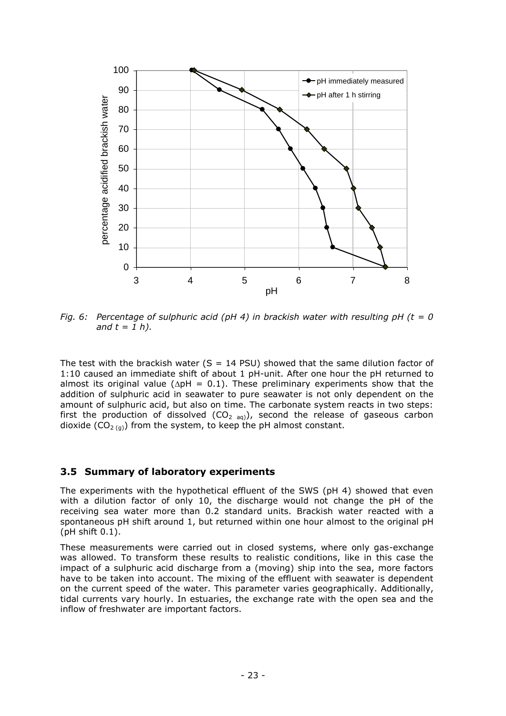

<span id="page-25-0"></span>*Fig. 6: Percentage of sulphuric acid (pH 4) in brackish water with resulting pH (t = 0 and t = 1 h).*

The test with the brackish water (S = 14 PSU) showed that the same dilution factor of 1:10 caused an immediate shift of about 1 pH-unit. After one hour the pH returned to almost its original value ( $\Delta$ pH = 0.1). These preliminary experiments show that the addition of sulphuric acid in seawater to pure seawater is not only dependent on the amount of sulphuric acid, but also on time. The carbonate system reacts in two steps: first the production of dissolved  $(CO_{2 \text{aq}})$ , second the release of gaseous carbon dioxide (CO<sub>2 (g)</sub>) from the system, to keep the pH almost constant.

#### **3.5 Summary of laboratory experiments**

The experiments with the hypothetical effluent of the SWS (pH 4) showed that even with a dilution factor of only 10, the discharge would not change the pH of the receiving sea water more than 0.2 standard units. Brackish water reacted with a spontaneous pH shift around 1, but returned within one hour almost to the original pH (pH shift 0.1).

These measurements were carried out in closed systems, where only gas-exchange was allowed. To transform these results to realistic conditions, like in this case the impact of a sulphuric acid discharge from a (moving) ship into the sea, more factors have to be taken into account. The mixing of the effluent with seawater is dependent on the current speed of the water. This parameter varies geographically. Additionally, tidal currents vary hourly. In estuaries, the exchange rate with the open sea and the inflow of freshwater are important factors.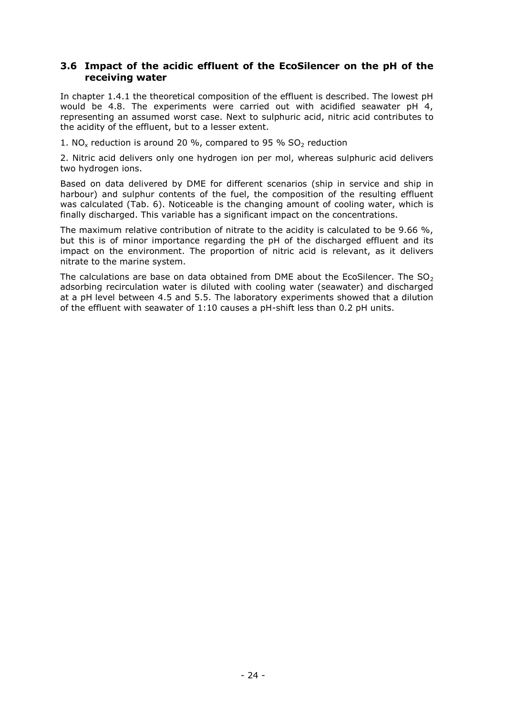#### **3.6 Impact of the acidic effluent of the EcoSilencer on the pH of the receiving water**

In chapter [1.4.1](#page-9-0) the theoretical composition of the effluent is described. The lowest pH would be 4.8. The experiments were carried out with acidified seawater pH 4, representing an assumed worst case. Next to sulphuric acid, nitric acid contributes to the acidity of the effluent, but to a lesser extent.

1. NO<sub>x</sub> reduction is around 20 %, compared to 95 %  $SO_2$  reduction

2. Nitric acid delivers only one hydrogen ion per mol, whereas sulphuric acid delivers two hydrogen ions.

Based on data delivered by DME for different scenarios (ship in service and ship in harbour) and sulphur contents of the fuel, the composition of the resulting effluent was calculated [\(Tab. 6\)](#page-27-0). Noticeable is the changing amount of cooling water, which is finally discharged. This variable has a significant impact on the concentrations.

The maximum relative contribution of nitrate to the acidity is calculated to be 9.66 %, but this is of minor importance regarding the pH of the discharged effluent and its impact on the environment. The proportion of nitric acid is relevant, as it delivers nitrate to the marine system.

The calculations are base on data obtained from DME about the EcoSilencer. The  $SO<sub>2</sub>$ adsorbing recirculation water is diluted with cooling water (seawater) and discharged at a pH level between 4.5 and 5.5. The laboratory experiments showed that a dilution of the effluent with seawater of 1:10 causes a pH-shift less than 0.2 pH units.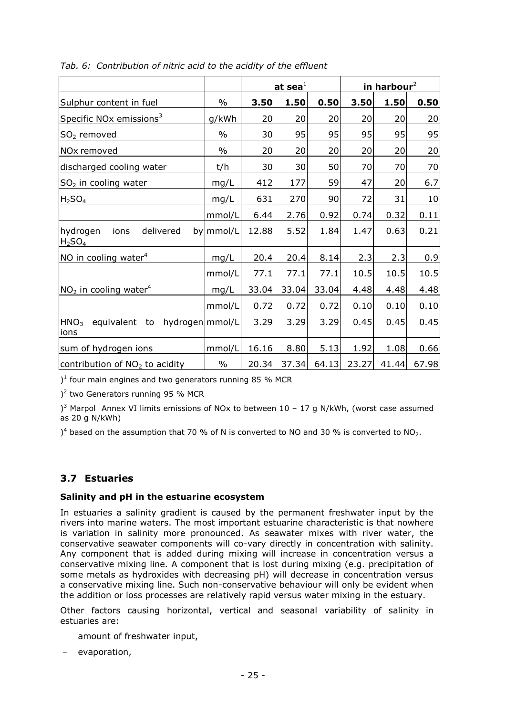|                                                                 |               | at sea $^1$ |       |       | in harbour $2$ |       |       |
|-----------------------------------------------------------------|---------------|-------------|-------|-------|----------------|-------|-------|
| Sulphur content in fuel                                         | $\%$          | 3.50        | 1.50  | 0.50  | 3.50           | 1.50  | 0.50  |
| Specific NO <sub>x</sub> emissions <sup>3</sup>                 | g/kWh         | 20          | 20    | 20    | 20             | 20    | 20    |
| $SO2$ removed                                                   | $\%$          | 30          | 95    | 95    | 95             | 95    | 95    |
| NOx removed                                                     | $\%$          | 20          | 20    | 20    | 20             | 20    | 20    |
| discharged cooling water                                        | t/h           | 30          | 30    | 50    | 70             | 70    | 70    |
| $SO2$ in cooling water                                          | mg/L          | 412         | 177   | 59    | 47             | 20    | 6.7   |
| H <sub>2</sub> SO <sub>4</sub>                                  | mg/L          | 631         | 270   | 90    | 72             | 31    | 10    |
|                                                                 | mmol/L        | 6.44        | 2.76  | 0.92  | 0.74           | 0.32  | 0.11  |
| hydrogen<br>delivered<br>ions<br>H <sub>2</sub> SO <sub>4</sub> | by mmol/L     | 12.88       | 5.52  | 1.84  | 1.47           | 0.63  | 0.21  |
| NO in cooling water <sup>4</sup>                                | mg/L          | 20.4        | 20.4  | 8.14  | 2.3            | 2.3   | 0.9   |
|                                                                 | mmol/L        | 77.1        | 77.1  | 77.1  | 10.5           | 10.5  | 10.5  |
| $NO2$ in cooling water <sup>4</sup>                             | mg/L          | 33.04       | 33.04 | 33.04 | 4.48           | 4.48  | 4.48  |
|                                                                 | mmol/L        | 0.72        | 0.72  | 0.72  | 0.10           | 0.10  | 0.10  |
| HNO <sub>3</sub><br>hydrogen mmol/L<br>to<br>equivalent<br>ions |               | 3.29        | 3.29  | 3.29  | 0.45           | 0.45  | 0.45  |
| sum of hydrogen ions                                            | mmol/L        | 16.16       | 8.80  | 5.13  | 1.92           | 1.08  | 0.66  |
| contribution of NO <sub>2</sub> to acidity                      | $\frac{0}{0}$ | 20.34       | 37.34 | 64.13 | 23.27          | 41.44 | 67.98 |

<span id="page-27-0"></span>*Tab. 6: Contribution of nitric acid to the acidity of the effluent*

 $1<sup>1</sup>$  four main engines and two generators running 85 % MCR

) 2 two Generators running 95 % MCR

)<sup>3</sup> Marpol Annex VI limits emissions of NOx to between  $10 - 17$  g N/kWh, (worst case assumed as 20 g N/kWh)

 $1<sup>4</sup>$  based on the assumption that 70 % of N is converted to NO and 30 % is converted to NO<sub>2</sub>.

# **3.7 Estuaries**

## **Salinity and pH in the estuarine ecosystem**

In estuaries a salinity gradient is caused by the permanent freshwater input by the rivers into marine waters. The most important estuarine characteristic is that nowhere is variation in salinity more pronounced. As seawater mixes with river water, the conservative seawater components will co-vary directly in concentration with salinity. Any component that is added during mixing will increase in concentration versus a conservative mixing line. A component that is lost during mixing (e.g. precipitation of some metals as hydroxides with decreasing pH) will decrease in concentration versus a conservative mixing line. Such non-conservative behaviour will only be evident when the addition or loss processes are relatively rapid versus water mixing in the estuary.

Other factors causing horizontal, vertical and seasonal variability of salinity in estuaries are:

- amount of freshwater input,
- $-$  evaporation,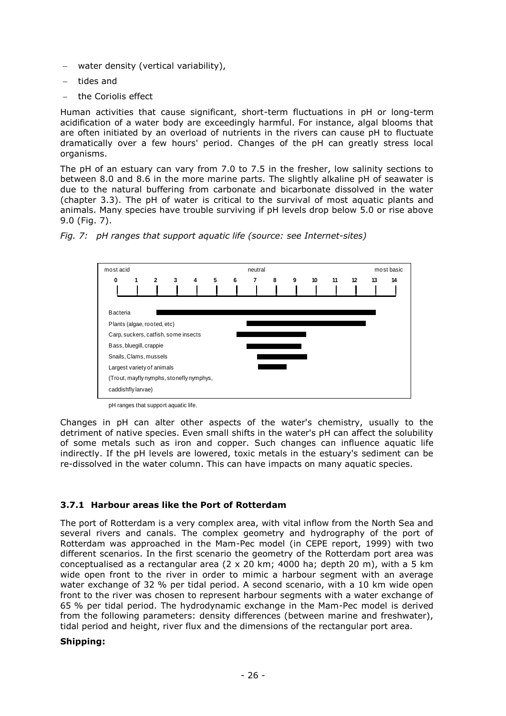- water density (vertical variability),
- tides and
- the Coriolis effect

Human activities that cause significant, short-term fluctuations in pH or long-term acidification of a water body are exceedingly harmful. For instance, algal blooms that are often initiated by an overload of nutrients in the rivers can cause pH to fluctuate dramatically over a few hours' period. Changes of the pH can greatly stress local organisms.

The pH of an estuary can vary from 7.0 to 7.5 in the fresher, low salinity sections to between 8.0 and 8.6 in the more marine parts. The slightly alkaline pH of seawater is due to the natural buffering from carbonate and bicarbonate dissolved in the water (chapter [3.3\)](#page-20-0). The pH of water is critical to the survival of most aquatic plants and animals. Many species have trouble surviving if pH levels drop below 5.0 or rise above 9.0 [\(Fig. 7\)](#page-28-0).



<span id="page-28-0"></span>*Fig. 7: pH ranges that support aquatic life (source: see Internet-sites)*

pH ranges that support aquatic life.

Changes in pH can alter other aspects of the water's chemistry, usually to the detriment of native species. Even small shifts in the water's pH can affect the solubility of some metals such as iron and copper. Such changes can influence aquatic life indirectly. If the pH levels are lowered, toxic metals in the estuary's sediment can be re-dissolved in the water column. This can have impacts on many aquatic species.

#### **3.7.1 Harbour areas like the Port of Rotterdam**

The port of Rotterdam is a very complex area, with vital inflow from the North Sea and several rivers and canals. The complex geometry and hydrography of the port of Rotterdam was approached in the Mam-Pec model (in CEPE report, 1999) with two different scenarios. In the first scenario the geometry of the Rotterdam port area was conceptualised as a rectangular area  $(2 \times 20 \text{ km})$ ; 4000 ha; depth 20 m), with a 5 km wide open front to the river in order to mimic a harbour segment with an average water exchange of 32 % per tidal period. A second scenario, with a 10 km wide open front to the river was chosen to represent harbour segments with a water exchange of 65 % per tidal period. The hydrodynamic exchange in the Mam-Pec model is derived from the following parameters: density differences (between marine and freshwater), tidal period and height, river flux and the dimensions of the rectangular port area.

#### **Shipping:**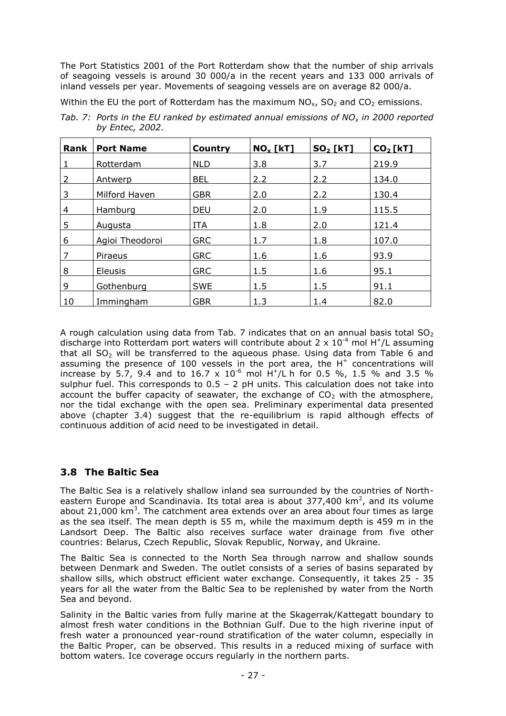The Port Statistics 2001 of the Port Rotterdam show that the number of ship arrivals of seagoing vessels is around 30 000/a in the recent years and 133 000 arrivals of inland vessels per year. Movements of seagoing vessels are on average 82 000/a.

Within the EU the port of Rotterdam has the maximum  $NO<sub>x</sub>$ , SO<sub>2</sub> and CO<sub>2</sub> emissions.

| Tab. 7: Ports in the EU ranked by estimated annual emissions of $NOx$ in 2000 reported |
|----------------------------------------------------------------------------------------|
| by Entec, 2002.                                                                        |

| Rank | <b>Port Name</b> | Country    | $NO_x$ [kT] | <b>SO<sub>2</sub></b> [kT] | CO <sub>2</sub> [kT] |
|------|------------------|------------|-------------|----------------------------|----------------------|
|      | Rotterdam        | <b>NLD</b> | 3.8         | 3.7                        | 219.9                |
|      | Antwerp          | <b>BEL</b> | 2.2         | 2.2                        | 134.0                |
| 3    | Milford Haven    | <b>GBR</b> | 2.0         | 2.2                        | 130.4                |
| 4    | Hamburg          | <b>DEU</b> | 2.0         | 1.9                        | 115.5                |
| 5    | Augusta          | <b>ITA</b> | 1.8         | 2.0                        | 121.4                |
| 6    | Agioi Theodoroi  | <b>GRC</b> | 1.7         | 1.8                        | 107.0                |
|      | Piraeus          | <b>GRC</b> | 1.6         | 1.6                        | 93.9                 |
| 8    | <b>Eleusis</b>   | <b>GRC</b> | 1.5         | 1.6                        | 95.1                 |
| 9    | Gothenburg       | <b>SWE</b> | 1.5         | 1.5                        | 91.1                 |
| 10   | Immingham        | <b>GBR</b> | 1.3         | 1.4                        | 82.0                 |

A rough calculation using data from Tab. 7 indicates that on an annual basis total  $SO<sub>2</sub>$ discharge into Rotterdam port waters will contribute about 2 x  $10^{-4}$  mol H<sup>+</sup>/L assuming that all  $SO<sub>2</sub>$  will be transferred to the aqueous phase. Using data from Table 6 and assuming the presence of 100 vessels in the port area, the  $H^+$  concentrations will increase by 5.7, 9.4 and to 16.7 x 10<sup>-6</sup> mol H<sup>+</sup>/L h for 0.5 %, 1.5 % and 3.5 % sulphur fuel. This corresponds to  $0.5 - 2$  pH units. This calculation does not take into account the buffer capacity of seawater, the exchange of  $CO<sub>2</sub>$  with the atmosphere, nor the tidal exchange with the open sea. Preliminary experimental data presented above (chapter 3.4) suggest that the re-equilibrium is rapid although effects of continuous addition of acid need to be investigated in detail.

## **3.8 The Baltic Sea**

The Baltic Sea is a relatively shallow inland sea surrounded by the countries of Northeastern Europe and Scandinavia. Its total area is about 377,400 km<sup>2</sup>, and its volume about 21,000 km<sup>3</sup>. The catchment area extends over an area about four times as large as the sea itself. The mean depth is 55 m, while the maximum depth is 459 m in the Landsort Deep. The Baltic also receives surface water drainage from five other countries: Belarus, Czech Republic, Slovak Republic, Norway, and Ukraine.

The Baltic Sea is connected to the North Sea through narrow and shallow sounds between Denmark and Sweden. The outlet consists of a series of basins separated by shallow sills, which obstruct efficient water exchange. Consequently, it takes 25 - 35 years for all the water from the Baltic Sea to be replenished by water from the North Sea and beyond.

Salinity in the Baltic varies from fully marine at the Skagerrak/Kattegatt boundary to almost fresh water conditions in the Bothnian Gulf. Due to the high riverine input of fresh water a pronounced year-round stratification of the water column, especially in the Baltic Proper, can be observed. This results in a reduced mixing of surface with bottom waters. Ice coverage occurs regularly in the northern parts.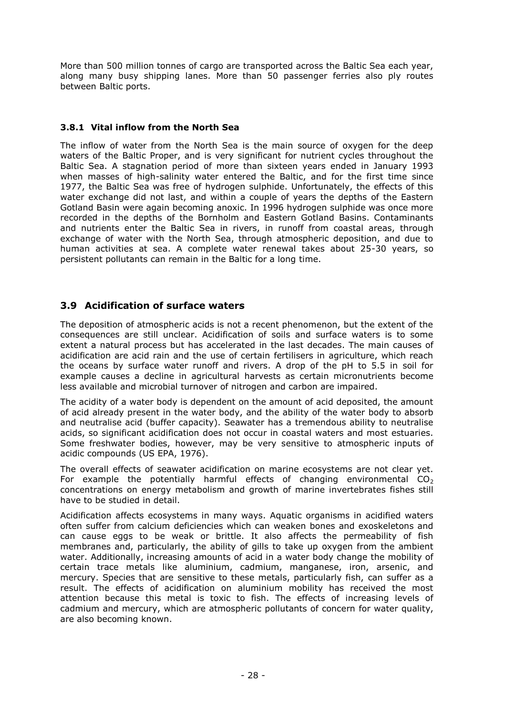More than 500 million tonnes of cargo are transported across the Baltic Sea each year, along many busy shipping lanes. More than 50 passenger ferries also ply routes between Baltic ports.

#### **3.8.1 Vital inflow from the North Sea**

The inflow of water from the North Sea is the main source of oxygen for the deep waters of the Baltic Proper, and is very significant for nutrient cycles throughout the Baltic Sea. A stagnation period of more than sixteen years ended in January 1993 when masses of high-salinity water entered the Baltic, and for the first time since 1977, the Baltic Sea was free of hydrogen sulphide. Unfortunately, the effects of this water exchange did not last, and within a couple of years the depths of the Eastern Gotland Basin were again becoming anoxic. In 1996 hydrogen sulphide was once more recorded in the depths of the Bornholm and Eastern Gotland Basins. Contaminants and nutrients enter the Baltic Sea in rivers, in runoff from coastal areas, through exchange of water with the North Sea, through atmospheric deposition, and due to human activities at sea. A complete water renewal takes about 25-30 years, so persistent pollutants can remain in the Baltic for a long time.

## **3.9 Acidification of surface waters**

The deposition of atmospheric acids is not a recent phenomenon, but the extent of the consequences are still unclear. Acidification of soils and surface waters is to some extent a natural process but has accelerated in the last decades. The main causes of acidification are acid rain and the use of certain fertilisers in agriculture, which reach the oceans by surface water runoff and rivers. A drop of the pH to 5.5 in soil for example causes a decline in agricultural harvests as certain micronutrients become less available and microbial turnover of nitrogen and carbon are impaired.

The acidity of a water body is dependent on the amount of acid deposited, the amount of acid already present in the water body, and the ability of the water body to absorb and neutralise acid (buffer capacity). Seawater has a tremendous ability to neutralise acids, so significant acidification does not occur in coastal waters and most estuaries. Some freshwater bodies, however, may be very sensitive to atmospheric inputs of acidic compounds (US EPA, 1976).

The overall effects of seawater acidification on marine ecosystems are not clear yet. For example the potentially harmful effects of changing environmental  $CO<sub>2</sub>$ concentrations on energy metabolism and growth of marine invertebrates fishes still have to be studied in detail.

Acidification affects ecosystems in many ways. Aquatic organisms in acidified waters often suffer from calcium deficiencies which can weaken bones and exoskeletons and can cause eggs to be weak or brittle. It also affects the permeability of fish membranes and, particularly, the ability of gills to take up oxygen from the ambient water. Additionally, increasing amounts of acid in a water body change the mobility of certain trace metals like aluminium, cadmium, manganese, iron, arsenic, and mercury. Species that are sensitive to these metals, particularly fish, can suffer as a result. The effects of acidification on aluminium mobility has received the most attention because this metal is toxic to fish. The effects of increasing levels of cadmium and mercury, which are atmospheric pollutants of concern for water quality, are also becoming known.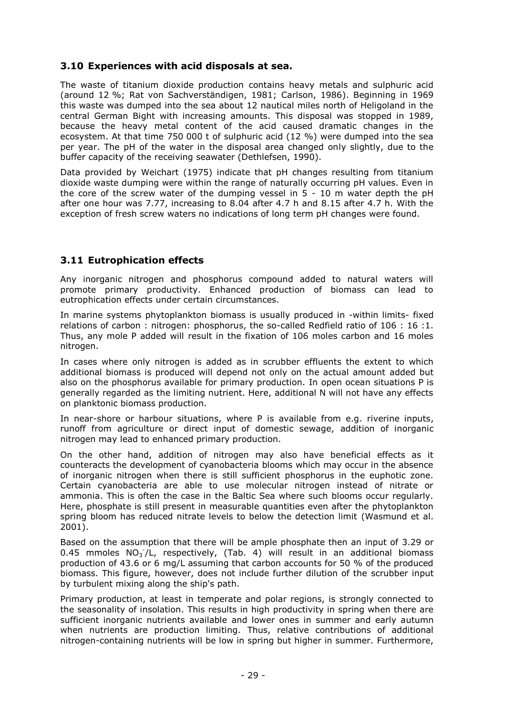## **3.10 Experiences with acid disposals at sea.**

The waste of titanium dioxide production contains heavy metals and sulphuric acid (around 12 %; Rat von Sachverständigen, 1981; Carlson, 1986). Beginning in 1969 this waste was dumped into the sea about 12 nautical miles north of Heligoland in the central German Bight with increasing amounts. This disposal was stopped in 1989, because the heavy metal content of the acid caused dramatic changes in the ecosystem. At that time 750 000 t of sulphuric acid (12 %) were dumped into the sea per year. The pH of the water in the disposal area changed only slightly, due to the buffer capacity of the receiving seawater (Dethlefsen, 1990).

Data provided by Weichart (1975) indicate that pH changes resulting from titanium dioxide waste dumping were within the range of naturally occurring pH values. Even in the core of the screw water of the dumping vessel in 5 - 10 m water depth the pH after one hour was 7.77, increasing to 8.04 after 4.7 h and 8.15 after 4.7 h. With the exception of fresh screw waters no indications of long term pH changes were found.

## **3.11 Eutrophication effects**

Any inorganic nitrogen and phosphorus compound added to natural waters will promote primary productivity. Enhanced production of biomass can lead to eutrophication effects under certain circumstances.

In marine systems phytoplankton biomass is usually produced in -within limits- fixed relations of carbon : nitrogen: phosphorus, the so-called Redfield ratio of 106 : 16 :1. Thus, any mole P added will result in the fixation of 106 moles carbon and 16 moles nitrogen.

In cases where only nitrogen is added as in scrubber effluents the extent to which additional biomass is produced will depend not only on the actual amount added but also on the phosphorus available for primary production. In open ocean situations P is generally regarded as the limiting nutrient. Here, additional N will not have any effects on planktonic biomass production.

In near-shore or harbour situations, where P is available from e.g. riverine inputs, runoff from agriculture or direct input of domestic sewage, addition of inorganic nitrogen may lead to enhanced primary production.

On the other hand, addition of nitrogen may also have beneficial effects as it counteracts the development of cyanobacteria blooms which may occur in the absence of inorganic nitrogen when there is still sufficient phosphorus in the euphotic zone. Certain cyanobacteria are able to use molecular nitrogen instead of nitrate or ammonia. This is often the case in the Baltic Sea where such blooms occur regularly. Here, phosphate is still present in measurable quantities even after the phytoplankton spring bloom has reduced nitrate levels to below the detection limit (Wasmund et al. 2001).

Based on the assumption that there will be ample phosphate then an input of 3.29 or 0.45 mmoles  $NO<sub>3</sub> / L$ , respectively, (Tab. 4) will result in an additional biomass production of 43.6 or 6 mg/L assuming that carbon accounts for 50 % of the produced biomass. This figure, however, does not include further dilution of the scrubber input by turbulent mixing along the ship's path.

Primary production, at least in temperate and polar regions, is strongly connected to the seasonality of insolation. This results in high productivity in spring when there are sufficient inorganic nutrients available and lower ones in summer and early autumn when nutrients are production limiting. Thus, relative contributions of additional nitrogen-containing nutrients will be low in spring but higher in summer. Furthermore,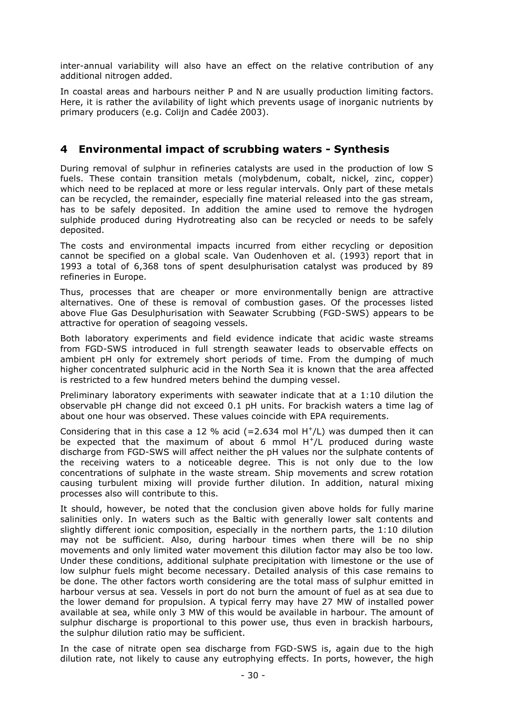inter-annual variability will also have an effect on the relative contribution of any additional nitrogen added.

In coastal areas and harbours neither P and N are usually production limiting factors. Here, it is rather the avilability of light which prevents usage of inorganic nutrients by primary producers (e.g. Colijn and Cadée 2003).

## **4 Environmental impact of scrubbing waters - Synthesis**

During removal of sulphur in refineries catalysts are used in the production of low S fuels. These contain transition metals (molybdenum, cobalt, nickel, zinc, copper) which need to be replaced at more or less regular intervals. Only part of these metals can be recycled, the remainder, especially fine material released into the gas stream, has to be safely deposited. In addition the amine used to remove the hydrogen sulphide produced during Hydrotreating also can be recycled or needs to be safely deposited.

The costs and environmental impacts incurred from either recycling or deposition cannot be specified on a global scale. Van Oudenhoven et al. (1993) report that in 1993 a total of 6,368 tons of spent desulphurisation catalyst was produced by 89 refineries in Europe.

Thus, processes that are cheaper or more environmentally benign are attractive alternatives. One of these is removal of combustion gases. Of the processes listed above Flue Gas Desulphurisation with Seawater Scrubbing (FGD-SWS) appears to be attractive for operation of seagoing vessels.

Both laboratory experiments and field evidence indicate that acidic waste streams from FGD-SWS introduced in full strength seawater leads to observable effects on ambient pH only for extremely short periods of time. From the dumping of much higher concentrated sulphuric acid in the North Sea it is known that the area affected is restricted to a few hundred meters behind the dumping vessel.

Preliminary laboratory experiments with seawater indicate that at a 1:10 dilution the observable pH change did not exceed 0.1 pH units. For brackish waters a time lag of about one hour was observed. These values coincide with EPA requirements.

Considering that in this case a 12 % acid  $(=2.634 \text{ mol H}^+/\text{L})$  was dumped then it can be expected that the maximum of about 6 mmol  $H^+/L$  produced during waste discharge from FGD-SWS will affect neither the pH values nor the sulphate contents of the receiving waters to a noticeable degree. This is not only due to the low concentrations of sulphate in the waste stream. Ship movements and screw rotation causing turbulent mixing will provide further dilution. In addition, natural mixing processes also will contribute to this.

It should, however, be noted that the conclusion given above holds for fully marine salinities only. In waters such as the Baltic with generally lower salt contents and slightly different ionic composition, especially in the northern parts, the 1:10 dilution may not be sufficient. Also, during harbour times when there will be no ship movements and only limited water movement this dilution factor may also be too low. Under these conditions, additional sulphate precipitation with limestone or the use of low sulphur fuels might become necessary. Detailed analysis of this case remains to be done. The other factors worth considering are the total mass of sulphur emitted in harbour versus at sea. Vessels in port do not burn the amount of fuel as at sea due to the lower demand for propulsion. A typical ferry may have 27 MW of installed power available at sea, while only 3 MW of this would be available in harbour. The amount of sulphur discharge is proportional to this power use, thus even in brackish harbours, the sulphur dilution ratio may be sufficient.

In the case of nitrate open sea discharge from FGD-SWS is, again due to the high dilution rate, not likely to cause any eutrophying effects. In ports, however, the high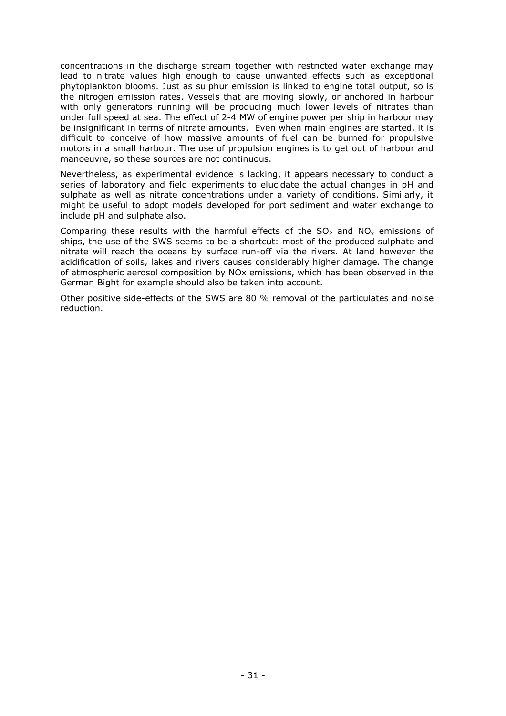concentrations in the discharge stream together with restricted water exchange may lead to nitrate values high enough to cause unwanted effects such as exceptional phytoplankton blooms. Just as sulphur emission is linked to engine total output, so is the nitrogen emission rates. Vessels that are moving slowly, or anchored in harbour with only generators running will be producing much lower levels of nitrates than under full speed at sea. The effect of 2-4 MW of engine power per ship in harbour may be insignificant in terms of nitrate amounts. Even when main engines are started, it is difficult to conceive of how massive amounts of fuel can be burned for propulsive motors in a small harbour. The use of propulsion engines is to get out of harbour and manoeuvre, so these sources are not continuous.

Nevertheless, as experimental evidence is lacking, it appears necessary to conduct a series of laboratory and field experiments to elucidate the actual changes in pH and sulphate as well as nitrate concentrations under a variety of conditions. Similarly, it might be useful to adopt models developed for port sediment and water exchange to include pH and sulphate also.

Comparing these results with the harmful effects of the  $SO<sub>2</sub>$  and NO<sub>x</sub> emissions of ships, the use of the SWS seems to be a shortcut: most of the produced sulphate and nitrate will reach the oceans by surface run-off via the rivers. At land however the acidification of soils, lakes and rivers causes considerably higher damage. The change of atmospheric aerosol composition by NOx emissions, which has been observed in the German Bight for example should also be taken into account.

Other positive side-effects of the SWS are 80 % removal of the particulates and noise reduction.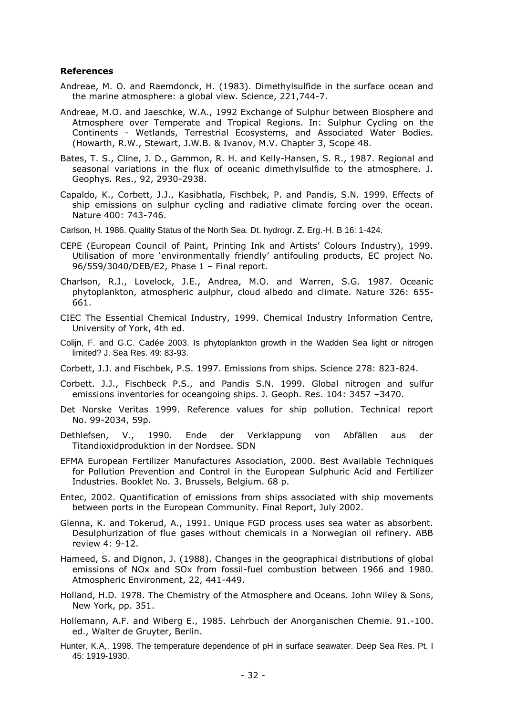#### **References**

- Andreae, M. O. and Raemdonck, H. (1983). Dimethylsulfide in the surface ocean and the marine atmosphere: a global view. Science, 221,744-7.
- Andreae, M.O. and Jaeschke, W.A., 1992 Exchange of Sulphur between Biosphere and Atmosphere over Temperate and Tropical Regions. In: Sulphur Cycling on the Continents - Wetlands, Terrestrial Ecosystems, and Associated Water Bodies. (Howarth, R.W., Stewart, J.W.B. & Ivanov, M.V. Chapter 3, Scope 48.
- Bates, T. S., Cline, J. D., Gammon, R. H. and Kelly-Hansen, S. R., 1987. Regional and seasonal variations in the flux of oceanic dimethylsulfide to the atmosphere. J. Geophys. Res., 92, 2930-2938.
- Capaldo, K., Corbett, J.J., Kasibhatla, Fischbek, P. and Pandis, S.N. 1999. Effects of ship emissions on sulphur cycling and radiative climate forcing over the ocean. Nature 400: 743-746.
- Carlson, H. 1986. Quality Status of the North Sea. Dt. hydrogr. Z. Erg.-H. B 16: 1-424.
- CEPE (European Council of Paint, Printing Ink and Artists' Colours Industry), 1999. Utilisation of more 'environmentally friendly' antifouling products, EC project No. 96/559/3040/DEB/E2, Phase 1 – Final report.
- Charlson, R.J., Lovelock, J.E., Andrea, M.O. and Warren, S.G. 1987. Oceanic phytoplankton, atmospheric aulphur, cloud albedo and climate. Nature 326: 655- 661.
- CIEC The Essential Chemical Industry, 1999. Chemical Industry Information Centre, University of York, 4th ed.
- Colijn, F. and G.C. Cadée 2003. Is phytoplankton growth in the Wadden Sea light or nitrogen limited? J. Sea Res. 49: 83-93.
- Corbett, J.J. and Fischbek, P.S. 1997. Emissions from ships. Science 278: 823-824.
- Corbett. J.J., Fischbeck P.S., and Pandis S.N. 1999. Global nitrogen and sulfur emissions inventories for oceangoing ships. J. Geoph. Res. 104: 3457 –3470.
- Det Norske Veritas 1999. Reference values for ship pollution. Technical report No. 99-2034, 59p.
- Dethlefsen, V., 1990. Ende der Verklappung von Abfällen aus der Titandioxidproduktion in der Nordsee. SDN
- EFMA European Fertilizer Manufactures Association, 2000. Best Available Techniques for Pollution Prevention and Control in the European Sulphuric Acid and Fertilizer Industries. Booklet No. 3. Brussels, Belgium. 68 p.
- Entec, 2002. Quantification of emissions from ships associated with ship movements between ports in the European Community. Final Report, July 2002.
- Glenna, K. and Tokerud, A., 1991. Unique FGD process uses sea water as absorbent. Desulphurization of flue gases without chemicals in a Norwegian oil refinery. ABB review 4: 9-12.
- Hameed, S. and Dignon, J. (1988). Changes in the geographical distributions of global emissions of NOx and SOx from fossil-fuel combustion between 1966 and 1980. Atmospheric Environment, 22, 441-449.
- Holland, H.D. 1978. The Chemistry of the Atmosphere and Oceans. John Wiley & Sons, New York, pp. 351.
- Hollemann, A.F. and Wiberg E., 1985. Lehrbuch der Anorganischen Chemie. 91.-100. ed., Walter de Gruyter, Berlin.
- Hunter, K.A,. 1998. The temperature dependence of pH in surface seawater. Deep Sea Res. Pt. I 45: 1919-1930.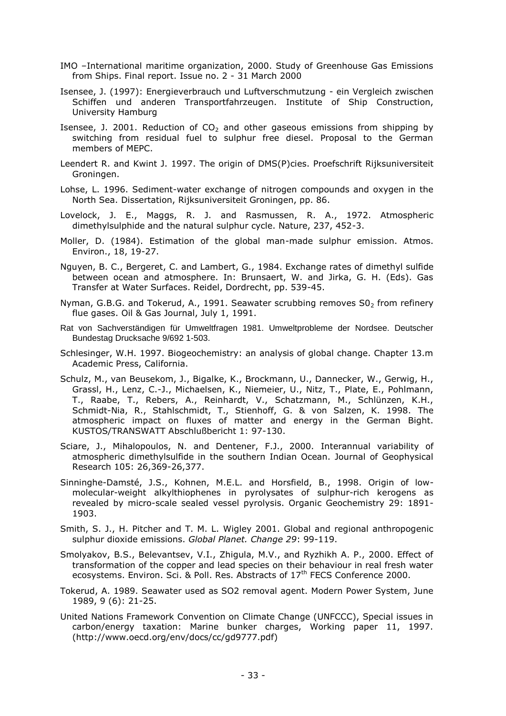- IMO –International maritime organization, 2000. Study of Greenhouse Gas Emissions from Ships. Final report. Issue no. 2 - 31 March 2000
- Isensee, J. (1997): Energieverbrauch und Luftverschmutzung ein Vergleich zwischen Schiffen und anderen Transportfahrzeugen. Institute of Ship Construction, University Hamburg
- Isensee, J. 2001. Reduction of  $CO<sub>2</sub>$  and other gaseous emissions from shipping by switching from residual fuel to sulphur free diesel. Proposal to the German members of MEPC.
- Leendert R. and Kwint J. 1997. The origin of DMS(P)cies. Proefschrift Rijksuniversiteit Groningen.
- Lohse, L. 1996. Sediment-water exchange of nitrogen compounds and oxygen in the North Sea. Dissertation, Rijksuniversiteit Groningen, pp. 86.
- Lovelock, J. E., Maggs, R. J. and Rasmussen, R. A., 1972. Atmospheric dimethylsulphide and the natural sulphur cycle. Nature, 237, 452-3.
- Moller, D. (1984). Estimation of the global man-made sulphur emission. Atmos. Environ., 18, 19-27.
- Nguyen, B. C., Bergeret, C. and Lambert, G., 1984. Exchange rates of dimethyl sulfide between ocean and atmosphere. In: Brunsaert, W. and Jirka, G. H. (Eds). Gas Transfer at Water Surfaces. Reidel, Dordrecht, pp. 539-45.
- Nyman, G.B.G. and Tokerud, A., 1991. Seawater scrubbing removes  $SO<sub>2</sub>$  from refinery flue gases. Oil & Gas Journal, July 1, 1991.
- Rat von Sachverständigen für Umweltfragen 1981. Umweltprobleme der Nordsee. Deutscher Bundestag Drucksache 9/692 1-503.
- Schlesinger, W.H. 1997. Biogeochemistry: an analysis of global change. Chapter 13.m Academic Press, California.
- Schulz, M., van Beusekom, J., Bigalke, K., Brockmann, U., Dannecker, W., Gerwig, H., Grassl, H., Lenz, C.-J., Michaelsen, K., Niemeier, U., Nitz, T., Plate, E., Pohlmann, T., Raabe, T., Rebers, A., Reinhardt, V., Schatzmann, M., Schlünzen, K.H., Schmidt-Nia, R., Stahlschmidt, T., Stienhoff, G. & von Salzen, K. 1998. The atmospheric impact on fluxes of matter and energy in the German Bight. KUSTOS/TRANSWATT Abschlußbericht 1: 97-130.
- Sciare, J., Mihalopoulos, N. and Dentener, F.J., 2000. Interannual variability of atmospheric dimethylsulfide in the southern Indian Ocean. Journal of Geophysical Research 105: 26,369-26,377.
- Sinninghe-Damsté, J.S., Kohnen, M.E.L. and Horsfield, B., 1998. Origin of lowmolecular-weight alkylthiophenes in pyrolysates of sulphur-rich kerogens as revealed by micro-scale sealed vessel pyrolysis. Organic Geochemistry 29: 1891- 1903.
- Smith, S. J., H. Pitcher and T. M. L. Wigley 2001. Global and regional anthropogenic sulphur dioxide emissions. *Global Planet. Change 29*: 99-119.
- Smolyakov, B.S., Belevantsev, V.I., Zhigula, M.V., and Ryzhikh A. P., 2000. Effect of transformation of the copper and lead species on their behaviour in real fresh water ecosystems. Environ. Sci. & Poll. Res. Abstracts of 17<sup>th</sup> FECS Conference 2000.
- Tokerud, A. 1989. Seawater used as SO2 removal agent. Modern Power System, June 1989, 9 (6): 21-25.
- United Nations Framework Convention on Climate Change (UNFCCC), Special issues in carbon/energy taxation: Marine bunker charges, Working paper 11, 1997. (http://www.oecd.org/env/docs/cc/gd9777.pdf)